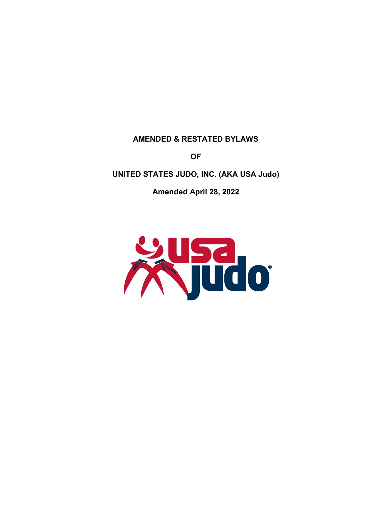#### **AMENDED & RESTATED BYLAWS**

**OF**

# **UNITED STATES JUDO, INC. (AKA USA Judo)**

**Amended April 28, 2022**

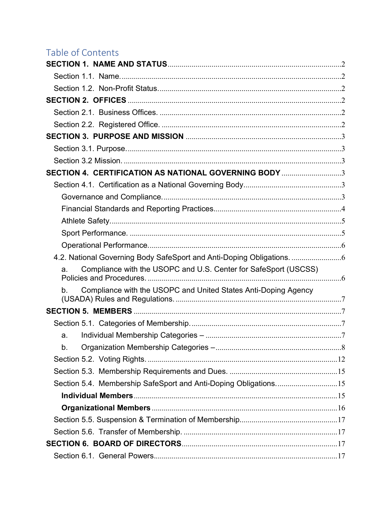# Table of Contents

| SECTION 4. CERTIFICATION AS NATIONAL GOVERNING BODY 3                 |  |
|-----------------------------------------------------------------------|--|
|                                                                       |  |
|                                                                       |  |
|                                                                       |  |
|                                                                       |  |
|                                                                       |  |
|                                                                       |  |
| 4.2. National Governing Body SafeSport and Anti-Doping Obligations.   |  |
| Compliance with the USOPC and U.S. Center for SafeSport (USCSS)<br>a. |  |
| Compliance with the USOPC and United States Anti-Doping Agency<br>b.  |  |
|                                                                       |  |
|                                                                       |  |
| a.                                                                    |  |
| b.                                                                    |  |
|                                                                       |  |
|                                                                       |  |
| Section 5.4. Membership SafeSport and Anti-Doping Obligations15       |  |
|                                                                       |  |
|                                                                       |  |
|                                                                       |  |
|                                                                       |  |
|                                                                       |  |
|                                                                       |  |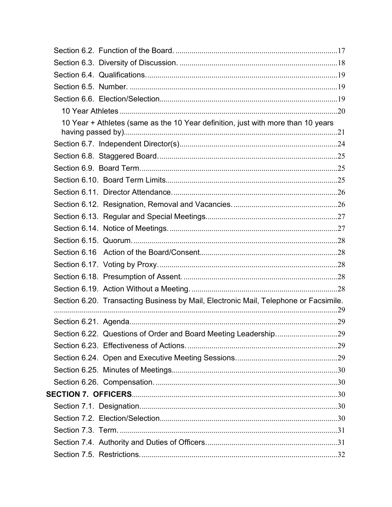| 10 Year + Athletes (same as the 10 Year definition, just with more than 10 years     |  |
|--------------------------------------------------------------------------------------|--|
|                                                                                      |  |
|                                                                                      |  |
|                                                                                      |  |
|                                                                                      |  |
|                                                                                      |  |
|                                                                                      |  |
|                                                                                      |  |
|                                                                                      |  |
|                                                                                      |  |
|                                                                                      |  |
|                                                                                      |  |
|                                                                                      |  |
|                                                                                      |  |
| Section 6.20. Transacting Business by Mail, Electronic Mail, Telephone or Facsimile. |  |
|                                                                                      |  |
|                                                                                      |  |
|                                                                                      |  |
|                                                                                      |  |
|                                                                                      |  |
|                                                                                      |  |
|                                                                                      |  |
|                                                                                      |  |
|                                                                                      |  |
|                                                                                      |  |
|                                                                                      |  |
|                                                                                      |  |
|                                                                                      |  |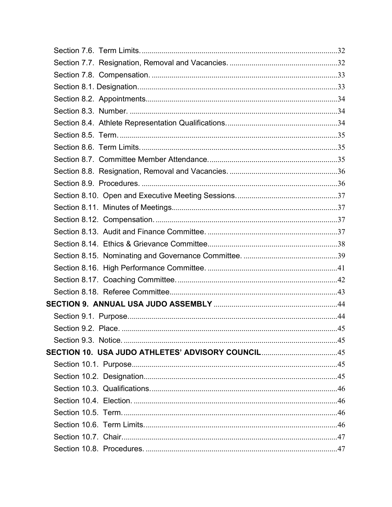| SECTION 10. USA JUDO ATHLETES' ADVISORY COUNCIL45 |  |
|---------------------------------------------------|--|
|                                                   |  |
|                                                   |  |
|                                                   |  |
|                                                   |  |
|                                                   |  |
|                                                   |  |
|                                                   |  |
|                                                   |  |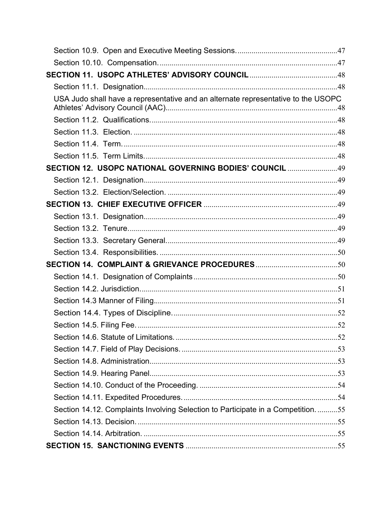| USA Judo shall have a representative and an alternate representative to the USOPC |  |
|-----------------------------------------------------------------------------------|--|
|                                                                                   |  |
|                                                                                   |  |
|                                                                                   |  |
|                                                                                   |  |
| SECTION 12. USOPC NATIONAL GOVERNING BODIES' COUNCIL 49                           |  |
|                                                                                   |  |
|                                                                                   |  |
|                                                                                   |  |
|                                                                                   |  |
|                                                                                   |  |
|                                                                                   |  |
|                                                                                   |  |
|                                                                                   |  |
|                                                                                   |  |
|                                                                                   |  |
|                                                                                   |  |
|                                                                                   |  |
|                                                                                   |  |
|                                                                                   |  |
|                                                                                   |  |
|                                                                                   |  |
|                                                                                   |  |
|                                                                                   |  |
|                                                                                   |  |
| Section 14.12. Complaints Involving Selection to Participate in a Competition55   |  |
|                                                                                   |  |
|                                                                                   |  |
|                                                                                   |  |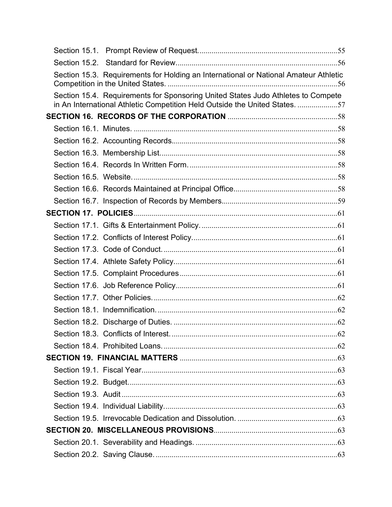|  | Section 15.3. Requirements for Holding an International or National Amateur Athletic                                                                            |  |
|--|-----------------------------------------------------------------------------------------------------------------------------------------------------------------|--|
|  | Section 15.4. Requirements for Sponsoring United States Judo Athletes to Compete<br>in An International Athletic Competition Held Outside the United States. 57 |  |
|  |                                                                                                                                                                 |  |
|  |                                                                                                                                                                 |  |
|  |                                                                                                                                                                 |  |
|  |                                                                                                                                                                 |  |
|  |                                                                                                                                                                 |  |
|  |                                                                                                                                                                 |  |
|  |                                                                                                                                                                 |  |
|  |                                                                                                                                                                 |  |
|  |                                                                                                                                                                 |  |
|  |                                                                                                                                                                 |  |
|  |                                                                                                                                                                 |  |
|  |                                                                                                                                                                 |  |
|  |                                                                                                                                                                 |  |
|  |                                                                                                                                                                 |  |
|  |                                                                                                                                                                 |  |
|  |                                                                                                                                                                 |  |
|  |                                                                                                                                                                 |  |
|  |                                                                                                                                                                 |  |
|  |                                                                                                                                                                 |  |
|  |                                                                                                                                                                 |  |
|  |                                                                                                                                                                 |  |
|  |                                                                                                                                                                 |  |
|  |                                                                                                                                                                 |  |
|  |                                                                                                                                                                 |  |
|  |                                                                                                                                                                 |  |
|  |                                                                                                                                                                 |  |
|  |                                                                                                                                                                 |  |
|  |                                                                                                                                                                 |  |
|  |                                                                                                                                                                 |  |
|  |                                                                                                                                                                 |  |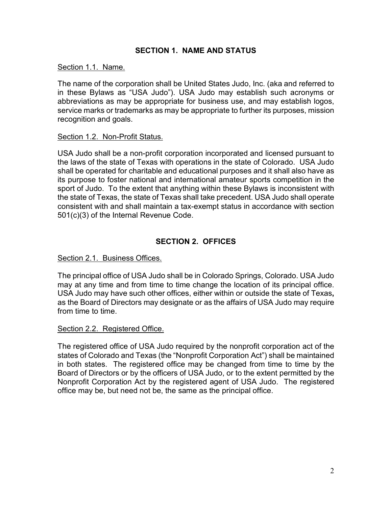# **SECTION 1. NAME AND STATUS**

#### <span id="page-7-1"></span><span id="page-7-0"></span>Section 1.1. Name.

The name of the corporation shall be United States Judo, Inc. (aka and referred to in these Bylaws as "USA Judo"). USA Judo may establish such acronyms or abbreviations as may be appropriate for business use, and may establish logos, service marks or trademarks as may be appropriate to further its purposes, mission recognition and goals.

#### <span id="page-7-2"></span>Section 1.2. Non-Profit Status.

USA Judo shall be a non-profit corporation incorporated and licensed pursuant to the laws of the state of Texas with operations in the state of Colorado. USA Judo shall be operated for charitable and educational purposes and it shall also have as its purpose to foster national and international amateur sports competition in the sport of Judo. To the extent that anything within these Bylaws is inconsistent with the state of Texas, the state of Texas shall take precedent. USA Judo shall operate consistent with and shall maintain a tax-exempt status in accordance with section 501(c)(3) of the Internal Revenue Code.

# **SECTION 2. OFFICES**

#### <span id="page-7-4"></span><span id="page-7-3"></span>Section 2.1. Business Offices.

The principal office of USA Judo shall be in Colorado Springs, Colorado. USA Judo may at any time and from time to time change the location of its principal office. USA Judo may have such other offices, either within or outside the state of Texas**,** as the Board of Directors may designate or as the affairs of USA Judo may require from time to time.

#### <span id="page-7-5"></span>Section 2.2. Registered Office.

The registered office of USA Judo required by the nonprofit corporation act of the states of Colorado and Texas (the "Nonprofit Corporation Act") shall be maintained in both states. The registered office may be changed from time to time by the Board of Directors or by the officers of USA Judo, or to the extent permitted by the Nonprofit Corporation Act by the registered agent of USA Judo. The registered office may be, but need not be, the same as the principal office.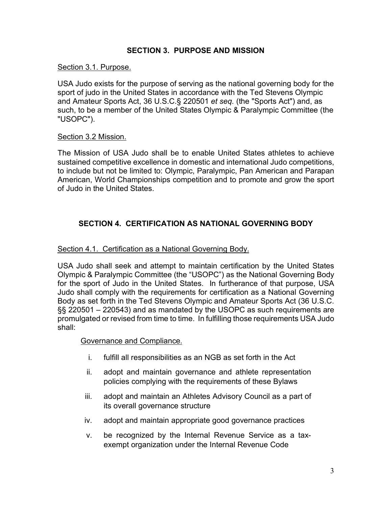# **SECTION 3. PURPOSE AND MISSION**

### <span id="page-8-1"></span><span id="page-8-0"></span>Section 3.1. Purpose.

USA Judo exists for the purpose of serving as the national governing body for the sport of judo in the United States in accordance with the Ted Stevens Olympic and Amateur Sports Act, 36 U.S.C.§ 220501 *et seq.* (the "Sports Act") and, as such, to be a member of the United States Olympic & Paralympic Committee (the "USOPC").

### <span id="page-8-2"></span>Section 3.2 Mission.

The Mission of USA Judo shall be to enable United States athletes to achieve sustained competitive excellence in domestic and international Judo competitions, to include but not be limited to: Olympic, Paralympic, Pan American and Parapan American, World Championships competition and to promote and grow the sport of Judo in the United States.

# <span id="page-8-3"></span>**SECTION 4. CERTIFICATION AS NATIONAL GOVERNING BODY**

### <span id="page-8-4"></span>Section 4.1. Certification as a National Governing Body.

USA Judo shall seek and attempt to maintain certification by the United States Olympic & Paralympic Committee (the "USOPC") as the National Governing Body for the sport of Judo in the United States. In furtherance of that purpose, USA Judo shall comply with the requirements for certification as a National Governing Body as set forth in the Ted Stevens Olympic and Amateur Sports Act (36 U.S.C. §§ 220501 – 220543) and as mandated by the USOPC as such requirements are promulgated or revised from time to time.In fulfilling those requirements USA Judo shall:

#### <span id="page-8-5"></span>Governance and Compliance.

- i. fulfill all responsibilities as an NGB as set forth in the Act
- ii. adopt and maintain governance and athlete representation policies complying with the requirements of these Bylaws
- iii. adopt and maintain an Athletes Advisory Council as a part of its overall governance structure
- iv. adopt and maintain appropriate good governance practices
- v. be recognized by the Internal Revenue Service as a taxexempt organization under the Internal Revenue Code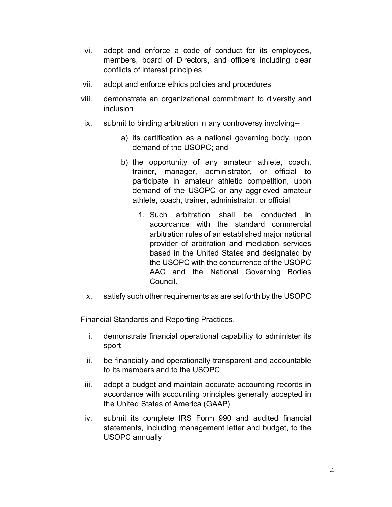- vi. adopt and enforce a code of conduct for its employees, members, board of Directors, and officers including clear conflicts of interest principles
- vii. adopt and enforce ethics policies and procedures
- viii. demonstrate an organizational commitment to diversity and inclusion
- ix. submit to binding arbitration in any controversy involving-
	- a) its certification as a national governing body, upon demand of the USOPC; and
	- b) the opportunity of any amateur athlete, coach, trainer, manager, administrator, or official to participate in amateur athletic competition, upon demand of the USOPC or any aggrieved amateur athlete, coach, trainer, administrator, or official
		- 1. Such arbitration shall be conducted in accordance with the standard commercial arbitration rules of an established major national provider of arbitration and mediation services based in the United States and designated by the USOPC with the concurrence of the USOPC AAC and the National Governing Bodies Council.
- x. satisfy such other requirements as are set forth by the USOPC

<span id="page-9-0"></span>Financial Standards and Reporting Practices.

- i. demonstrate financial operational capability to administer its sport
- ii. be financially and operationally transparent and accountable to its members and to the USOPC
- iii. adopt a budget and maintain accurate accounting records in accordance with accounting principles generally accepted in the United States of America (GAAP)
- iv. submit its complete IRS Form 990 and audited financial statements, including management letter and budget, to the USOPC annually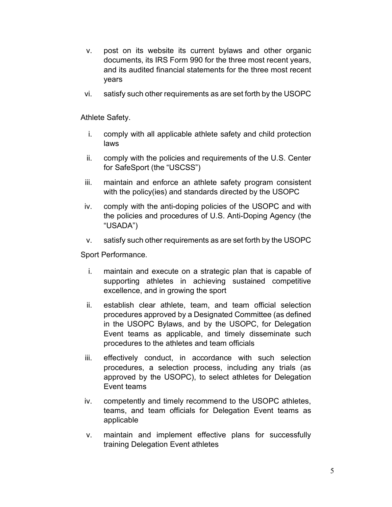- v. post on its website its current bylaws and other organic documents, its IRS Form 990 for the three most recent years, and its audited financial statements for the three most recent years
- vi. satisfy such other requirements as are set forth by the USOPC

<span id="page-10-0"></span>Athlete Safety.

- i. comply with all applicable athlete safety and child protection laws
- ii. comply with the policies and requirements of the U.S. Center for SafeSport (the "USCSS")
- iii. maintain and enforce an athlete safety program consistent with the policy(ies) and standards directed by the USOPC
- iv. comply with the anti-doping policies of the USOPC and with the policies and procedures of U.S. Anti-Doping Agency (the "USADA")
- v. satisfy such other requirements as are set forth by the USOPC

<span id="page-10-1"></span>Sport Performance.

- i. maintain and execute on a strategic plan that is capable of supporting athletes in achieving sustained competitive excellence, and in growing the sport
- ii. establish clear athlete, team, and team official selection procedures approved by a Designated Committee (as defined in the USOPC Bylaws, and by the USOPC, for Delegation Event teams as applicable, and timely disseminate such procedures to the athletes and team officials
- iii. effectively conduct, in accordance with such selection procedures, a selection process, including any trials (as approved by the USOPC), to select athletes for Delegation Event teams
- iv. competently and timely recommend to the USOPC athletes, teams, and team officials for Delegation Event teams as applicable
- v. maintain and implement effective plans for successfully training Delegation Event athletes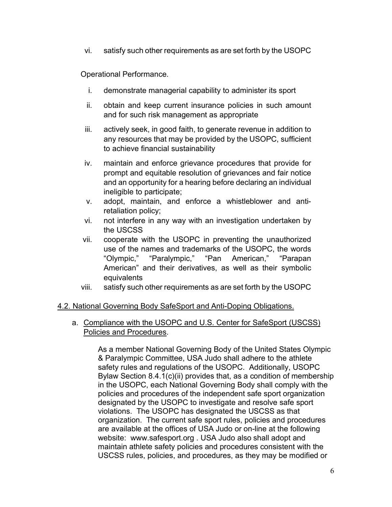vi. satisfy such other requirements as are set forth by the USOPC

<span id="page-11-0"></span>Operational Performance.

- i. demonstrate managerial capability to administer its sport
- ii. obtain and keep current insurance policies in such amount and for such risk management as appropriate
- iii. actively seek, in good faith, to generate revenue in addition to any resources that may be provided by the USOPC, sufficient to achieve financial sustainability
- iv. maintain and enforce grievance procedures that provide for prompt and equitable resolution of grievances and fair notice and an opportunity for a hearing before declaring an individual ineligible to participate;
- v. adopt, maintain, and enforce a whistleblower and antiretaliation policy;
- vi. not interfere in any way with an investigation undertaken by the USCSS
- vii. cooperate with the USOPC in preventing the unauthorized use of the names and trademarks of the USOPC, the words "Olympic," "Paralympic," "Pan American," "Parapan American" and their derivatives, as well as their symbolic equivalents
- viii. satisfy such other requirements as are set forth by the USOPC

### <span id="page-11-1"></span>4.2. National Governing Body SafeSport and Anti-Doping Obligations.

<span id="page-11-2"></span>a. Compliance with the USOPC and U.S. Center for SafeSport (USCSS) Policies and Procedures.

> As a member National Governing Body of the United States Olympic & Paralympic Committee, USA Judo shall adhere to the athlete safety rules and regulations of the USOPC. Additionally, USOPC Bylaw Section 8.4.1(c)(ii) provides that, as a condition of membership in the USOPC, each National Governing Body shall comply with the policies and procedures of the independent safe sport organization designated by the USOPC to investigate and resolve safe sport violations. The USOPC has designated the USCSS as that organization. The current safe sport rules, policies and procedures are available at the offices of USA Judo or on-line at the following website: [www.safesport.org](http://www.safesport.org/) . USA Judo also shall adopt and maintain athlete safety policies and procedures consistent with the USCSS rules, policies, and procedures, as they may be modified or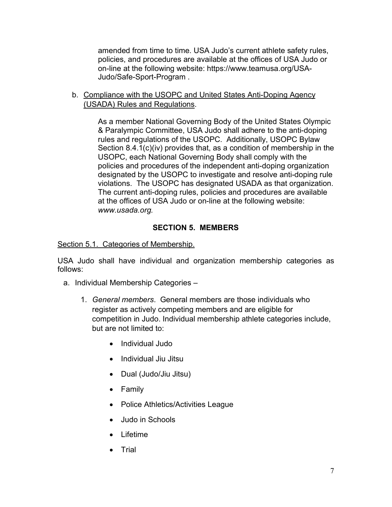amended from time to time. USA Judo's current athlete safety rules, policies, and procedures are available at the offices of USA Judo or on-line at the following website: [https://www.teamusa.org/USA-](https://www.teamusa.org/USA-Judo/Safe-Sport-Program)[Judo/Safe-Sport-Program](https://www.teamusa.org/USA-Judo/Safe-Sport-Program) .

<span id="page-12-0"></span>b. Compliance with the USOPC and United States Anti-Doping Agency (USADA) Rules and Regulations.

> As a member National Governing Body of the United States Olympic & Paralympic Committee, USA Judo shall adhere to the anti-doping rules and regulations of the USOPC. Additionally, USOPC Bylaw Section 8.4.1(c)(iv) provides that, as a condition of membership in the USOPC, each National Governing Body shall comply with the policies and procedures of the independent anti-doping organization designated by the USOPC to investigate and resolve anti-doping rule violations. The USOPC has designated USADA as that organization. The current anti-doping rules, policies and procedures are available at the offices of USA Judo or on-line at the following website: *[www.usada.org.](http://www.usada.org/)*

# **SECTION 5. MEMBERS**

<span id="page-12-2"></span><span id="page-12-1"></span>Section 5.1. Categories of Membership.

USA Judo shall have individual and organization membership categories as follows:

- <span id="page-12-3"></span>a. Individual Membership Categories –
	- 1. *General members*. General members are those individuals who register as actively competing members and are eligible for competition in Judo. Individual membership athlete categories include, but are not limited to:
		- Individual Judo
		- Individual Jiu Jitsu
		- Dual (Judo/Jiu Jitsu)
		- Family
		- Police Athletics/Activities League
		- Judo in Schools
		- Lifetime
		- Trial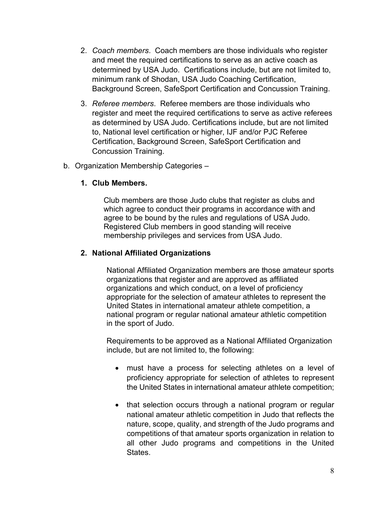- 2. *Coach members*. Coach members are those individuals who register and meet the required certifications to serve as an active coach as determined by USA Judo. Certifications include, but are not limited to, minimum rank of Shodan, USA Judo Coaching Certification, Background Screen, SafeSport Certification and Concussion Training.
- 3. *Referee members*. Referee members are those individuals who register and meet the required certifications to serve as active referees as determined by USA Judo. Certifications include, but are not limited to, National level certification or higher, IJF and/or PJC Referee Certification, Background Screen, SafeSport Certification and Concussion Training.
- <span id="page-13-0"></span>b. Organization Membership Categories –

### **1. Club Members.**

Club members are those Judo clubs that register as clubs and which agree to conduct their programs in accordance with and agree to be bound by the rules and regulations of USA Judo. Registered Club members in good standing will receive membership privileges and services from USA Judo.

### **2. National Affiliated Organizations**

National Affiliated Organization members are those amateur sports organizations that register and are approved as affiliated organizations and which conduct, on a level of proficiency appropriate for the selection of amateur athletes to represent the United States in international amateur athlete competition, a national program or regular national amateur athletic competition in the sport of Judo.

Requirements to be approved as a National Affiliated Organization include, but are not limited to, the following:

- must have a process for selecting athletes on a level of proficiency appropriate for selection of athletes to represent the United States in international amateur athlete competition;
- that selection occurs through a national program or regular national amateur athletic competition in Judo that reflects the nature, scope, quality, and strength of the Judo programs and competitions of that amateur sports organization in relation to all other Judo programs and competitions in the United States.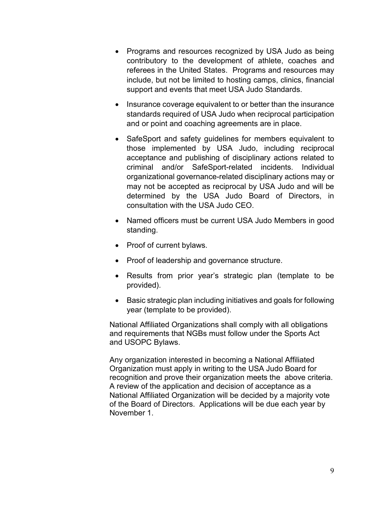- Programs and resources recognized by USA Judo as being contributory to the development of athlete, coaches and referees in the United States. Programs and resources may include, but not be limited to hosting camps, clinics, financial support and events that meet USA Judo Standards.
- Insurance coverage equivalent to or better than the insurance standards required of USA Judo when reciprocal participation and or point and coaching agreements are in place.
- SafeSport and safety guidelines for members equivalent to those implemented by USA Judo, including reciprocal acceptance and publishing of disciplinary actions related to criminal and/or SafeSport-related incidents. Individual organizational governance-related disciplinary actions may or may not be accepted as reciprocal by USA Judo and will be determined by the USA Judo Board of Directors, in consultation with the USA Judo CEO.
- Named officers must be current USA Judo Members in good standing.
- Proof of current bylaws.
- Proof of leadership and governance structure.
- Results from prior year's strategic plan (template to be provided).
- Basic strategic plan including initiatives and goals for following year (template to be provided).

National Affiliated Organizations shall comply with all obligations and requirements that NGBs must follow under the Sports Act and USOPC Bylaws.

Any organization interested in becoming a National Affiliated Organization must apply in writing to the USA Judo Board for recognition and prove their organization meets the above criteria. A review of the application and decision of acceptance as a National Affiliated Organization will be decided by a majority vote of the Board of Directors. Applications will be due each year by November 1.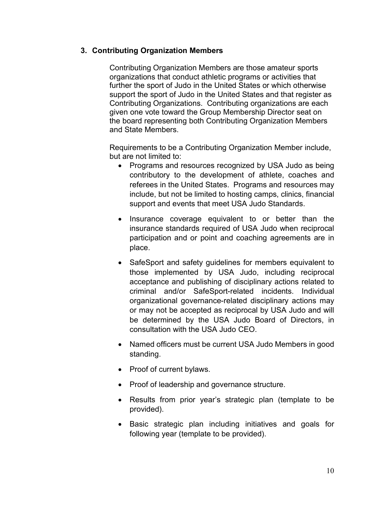# **3. Contributing Organization Members**

Contributing Organization Members are those amateur sports organizations that conduct athletic programs or activities that further the sport of Judo in the United States or which otherwise support the sport of Judo in the United States and that register as Contributing Organizations. Contributing organizations are each given one vote toward the Group Membership Director seat on the board representing both Contributing Organization Members and State Members.

Requirements to be a Contributing Organization Member include, but are not limited to:

- Programs and resources recognized by USA Judo as being contributory to the development of athlete, coaches and referees in the United States. Programs and resources may include, but not be limited to hosting camps, clinics, financial support and events that meet USA Judo Standards.
- Insurance coverage equivalent to or better than the insurance standards required of USA Judo when reciprocal participation and or point and coaching agreements are in place.
- SafeSport and safety guidelines for members equivalent to those implemented by USA Judo, including reciprocal acceptance and publishing of disciplinary actions related to criminal and/or SafeSport-related incidents. Individual organizational governance-related disciplinary actions may or may not be accepted as reciprocal by USA Judo and will be determined by the USA Judo Board of Directors, in consultation with the USA Judo CEO.
- Named officers must be current USA Judo Members in good standing.
- Proof of current bylaws.
- Proof of leadership and governance structure.
- Results from prior year's strategic plan (template to be provided).
- Basic strategic plan including initiatives and goals for following year (template to be provided).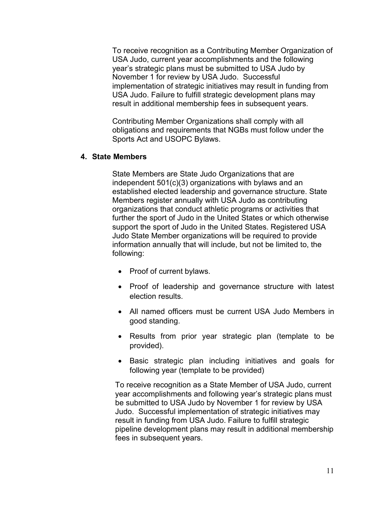To receive recognition as a Contributing Member Organization of USA Judo, current year accomplishments and the following year's strategic plans must be submitted to USA Judo by November 1 for review by USA Judo. Successful implementation of strategic initiatives may result in funding from USA Judo. Failure to fulfill strategic development plans may result in additional membership fees in subsequent years.

Contributing Member Organizations shall comply with all obligations and requirements that NGBs must follow under the Sports Act and USOPC Bylaws.

### **4. State Members**

State Members are State Judo Organizations that are independent 501(c)(3) organizations with bylaws and an established elected leadership and governance structure. State Members register annually with USA Judo as contributing organizations that conduct athletic programs or activities that further the sport of Judo in the United States or which otherwise support the sport of Judo in the United States. Registered USA Judo State Member organizations will be required to provide information annually that will include, but not be limited to, the following:

- Proof of current bylaws.
- Proof of leadership and governance structure with latest election results.
- All named officers must be current USA Judo Members in good standing.
- Results from prior year strategic plan (template to be provided).
- Basic strategic plan including initiatives and goals for following year (template to be provided)

To receive recognition as a State Member of USA Judo, current year accomplishments and following year's strategic plans must be submitted to USA Judo by November 1 for review by USA Judo. Successful implementation of strategic initiatives may result in funding from USA Judo. Failure to fulfill strategic pipeline development plans may result in additional membership fees in subsequent years.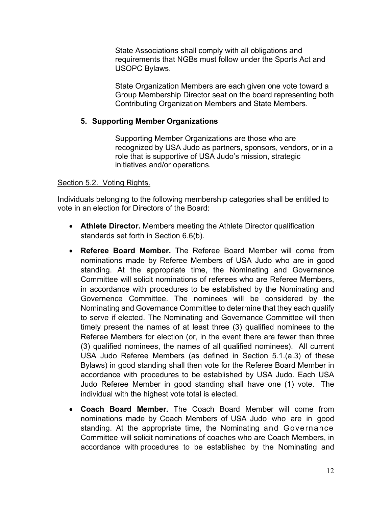State Associations shall comply with all obligations and requirements that NGBs must follow under the Sports Act and USOPC Bylaws.

State Organization Members are each given one vote toward a Group Membership Director seat on the board representing both Contributing Organization Members and State Members.

### **5. Supporting Member Organizations**

Supporting Member Organizations are those who are recognized by USA Judo as partners, sponsors, vendors, or in a role that is supportive of USA Judo's mission, strategic initiatives and/or operations.

# <span id="page-17-0"></span>Section 5.2. Voting Rights.

Individuals belonging to the following membership categories shall be entitled to vote in an election for Directors of the Board:

- **Athlete Director.** Members meeting the Athlete Director qualification standards set forth in Section 6.6(b).
- **Referee Board Member.** The Referee Board Member will come from nominations made by Referee Members of USA Judo who are in good standing. At the appropriate time, the Nominating and Governance Committee will solicit nominations of referees who are Referee Members, in accordance with procedures to be established by the Nominating and Governence Committee. The nominees will be considered by the Nominating and Governance Committee to determine that they each qualify to serve if elected. The Nominating and Governance Committee will then timely present the names of at least three (3) qualified nominees to the Referee Members for election (or, in the event there are fewer than three (3) qualified nominees, the names of all qualified nominees). All current USA Judo Referee Members (as defined in Section 5.1.(a.3) of these Bylaws) in good standing shall then vote for the Referee Board Member in accordance with procedures to be established by USA Judo. Each USA Judo Referee Member in good standing shall have one (1) vote. The individual with the highest vote total is elected.
- **Coach Board Member.** The Coach Board Member will come from nominations made by Coach Members of USA Judo who are in good standing. At the appropriate time, the Nominating and Governance Committee will solicit nominations of coaches who are Coach Members, in accordance with procedures to be established by the Nominating and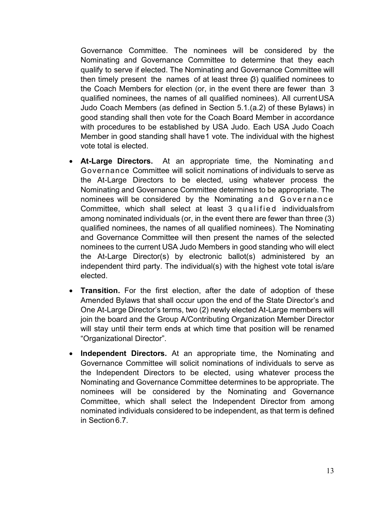Governance Committee. The nominees will be considered by the Nominating and Governance Committee to determine that they each qualify to serve if elected. The Nominating and Governance Committee will then timely present the names of at least three  $(3)$  qualified nominees to the Coach Members for election (or, in the event there are fewer than 3 qualified nominees, the names of all qualified nominees). All current USA Judo Coach Members (as defined in Section 5.1.(a.2) of these Bylaws) in good standing shall then vote for the Coach Board Member in accordance with procedures to be established by USA Judo. Each USA Judo Coach Member in good standing shall have1 vote. The individual with the highest vote total is elected.

- **At-Large Directors.** At an appropriate time, the Nominating and Governance Committee will solicit nominations of individuals to serve as the At-Large Directors to be elected, using whatever process the Nominating and Governance Committee determines to be appropriate. The nominees will be considered by the Nominating and Governance Committee, which shall select at least 3 qualified individualsfrom among nominated individuals (or, in the event there are fewer than three (3) qualified nominees, the names of all qualified nominees). The Nominating and Governance Committee will then present the names of the selected nominees to the current USA Judo Members in good standing who will elect the At-Large Director(s) by electronic ballot(s) administered by an independent third party. The individual(s) with the highest vote total is/are elected.
- **Transition.** For the first election, after the date of adoption of these Amended Bylaws that shall occur upon the end of the State Director's and One At-Large Director's terms, two (2) newly elected At-Large members will join the board and the Group A/Contributing Organization Member Director will stay until their term ends at which time that position will be renamed "Organizational Director".
- **Independent Directors.** At an appropriate time, the Nominating and Governance Committee will solicit nominations of individuals to serve as the Independent Directors to be elected, using whatever process the Nominating and Governance Committee determines to be appropriate. The nominees will be considered by the Nominating and Governance Committee, which shall select the Independent Director from among nominated individuals considered to be independent, as that term is defined in Section6.7.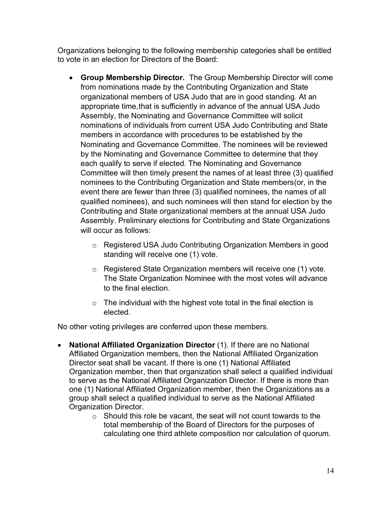Organizations belonging to the following membership categories shall be entitled to vote in an election for Directors of the Board:

- **Group Membership Director.** The Group Membership Director will come from nominations made by the Contributing Organization and State organizational members of USA Judo that are in good standing. At an appropriate time,that is sufficiently in advance of the annual USA Judo Assembly, the Nominating and Governance Committee will solicit nominations of individuals from current USA Judo Contributing and State members in accordance with procedures to be established by the Nominating and Governance Committee. The nominees will be reviewed by the Nominating and Governance Committee to determine that they each qualify to serve if elected. The Nominating and Governance Committee will then timely present the names of at least three (3) qualified nominees to the Contributing Organization and State members(or, in the event there are fewer than three (3) qualified nominees, the names of all qualified nominees), and such nominees will then stand for election by the Contributing and State organizational members at the annual USA Judo Assembly. Preliminary elections for Contributing and State Organizations will occur as follows:
	- o Registered USA Judo Contributing Organization Members in good standing will receive one (1) vote.
	- o Registered State Organization members will receive one (1) vote. The State Organization Nominee with the most votes will advance to the final election.
	- $\circ$  The individual with the highest vote total in the final election is elected.

No other voting privileges are conferred upon these members.

- **National Affiliated Organization Director** (1). If there are no National Affiliated Organization members, then the National Affiliated Organization Director seat shall be vacant. If there is one (1) National Affiliated Organization member, then that organization shall select a qualified individual to serve as the National Affiliated Organization Director. If there is more than one (1) National Affiliated Organization member, then the Organizations as a group shall select a qualified individual to serve as the National Affiliated Organization Director.
	- $\circ$  Should this role be vacant, the seat will not count towards to the total membership of the Board of Directors for the purposes of calculating one third athlete composition nor calculation of quorum.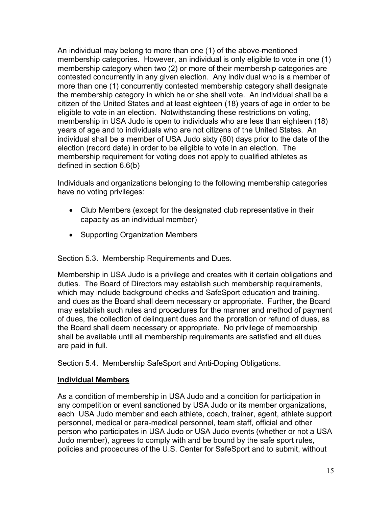An individual may belong to more than one (1) of the above-mentioned membership categories. However, an individual is only eligible to vote in one (1) membership category when two (2) or more of their membership categories are contested concurrently in any given election. Any individual who is a member of more than one (1) concurrently contested membership category shall designate the membership category in which he or she shall vote. An individual shall be a citizen of the United States and at least eighteen (18) years of age in order to be eligible to vote in an election. Notwithstanding these restrictions on voting, membership in USA Judo is open to individuals who are less than eighteen (18) years of age and to individuals who are not citizens of the United States. An individual shall be a member of USA Judo sixty (60) days prior to the date of the election (record date) in order to be eligible to vote in an election. The membership requirement for voting does not apply to qualified athletes as defined in section 6.6(b)

Individuals and organizations belonging to the following membership categories have no voting privileges:

- Club Members (except for the designated club representative in their capacity as an individual member)
- Supporting Organization Members

# <span id="page-20-0"></span>Section 5.3. Membership Requirements and Dues.

Membership in USA Judo is a privilege and creates with it certain obligations and duties. The Board of Directors may establish such membership requirements, which may include background checks and SafeSport education and training, and dues as the Board shall deem necessary or appropriate. Further, the Board may establish such rules and procedures for the manner and method of payment of dues, the collection of delinquent dues and the proration or refund of dues, as the Board shall deem necessary or appropriate. No privilege of membership shall be available until all membership requirements are satisfied and all dues are paid in full.

### <span id="page-20-1"></span>Section 5.4. Membership SafeSport and Anti-Doping Obligations.

### <span id="page-20-2"></span>**Individual Members**

As a condition of membership in USA Judo and a condition for participation in any competition or event sanctioned by USA Judo or its member organizations, each USA Judo member and each athlete, coach, trainer, agent, athlete support personnel, medical or para-medical personnel, team staff, official and other person who participates in USA Judo or USA Judo events (whether or not a USA Judo member), agrees to comply with and be bound by the safe sport rules, policies and procedures of the U.S. Center for SafeSport and to submit, without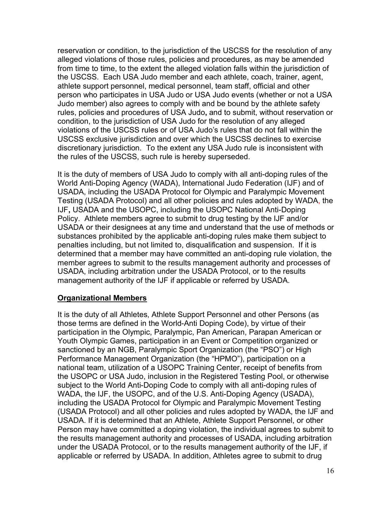reservation or condition, to the jurisdiction of the USCSS for the resolution of any alleged violations of those rules, policies and procedures, as may be amended from time to time, to the extent the alleged violation falls within the jurisdiction of the USCSS. Each USA Judo member and each athlete, coach, trainer, agent, athlete support personnel, medical personnel, team staff, official and other person who participates in USA Judo or USA Judo events (whether or not a USA Judo member) also agrees to comply with and be bound by the athlete safety rules, policies and procedures of USA Judo**,** and to submit, without reservation or condition, to the jurisdiction of USA Judo for the resolution of any alleged violations of the USCSS rules or of USA Judo's rules that do not fall within the USCSS exclusive jurisdiction and over which the USCSS declines to exercise discretionary jurisdiction. To the extent any USA Judo rule is inconsistent with the rules of the USCSS, such rule is hereby superseded.

It is the duty of members of USA Judo to comply with all anti-doping rules of the World Anti-Doping Agency (WADA), International Judo Federation (IJF) and of USADA, including the USADA Protocol for Olympic and Paralympic Movement Testing (USADA Protocol) and all other policies and rules adopted by WADA, the IJF**,** USADA and the USOPC, including the USOPC National Anti-Doping Policy. Athlete members agree to submit to drug testing by the IJF and/or USADA or their designees at any time and understand that the use of methods or substances prohibited by the applicable anti-doping rules make them subject to penalties including, but not limited to, disqualification and suspension. If it is determined that a member may have committed an anti-doping rule violation, the member agrees to submit to the results management authority and processes of USADA, including arbitration under the USADA Protocol, or to the results management authority of the IJF if applicable or referred by USADA.

### <span id="page-21-0"></span>**Organizational Members**

It is the duty of all Athletes, Athlete Support Personnel and other Persons (as those terms are defined in the World-Anti Doping Code), by virtue of their participation in the Olympic, Paralympic, Pan American, Parapan American or Youth Olympic Games, participation in an Event or Competition organized or sanctioned by an NGB, Paralympic Sport Organization (the "PSO") or High Performance Management Organization (the "HPMO"), participation on a national team, utilization of a USOPC Training Center, receipt of benefits from the USOPC or USA Judo, inclusion in the Registered Testing Pool, or otherwise subject to the World Anti-Doping Code to comply with all anti-doping rules of WADA, the IJF, the USOPC, and of the U.S. Anti-Doping Agency (USADA), including the USADA Protocol for Olympic and Paralympic Movement Testing (USADA Protocol) and all other policies and rules adopted by WADA, the IJF and USADA. If it is determined that an Athlete, Athlete Support Personnel, or other Person may have committed a doping violation, the individual agrees to submit to the results management authority and processes of USADA, including arbitration under the USADA Protocol, or to the results management authority of the IJF, if applicable or referred by USADA. In addition, Athletes agree to submit to drug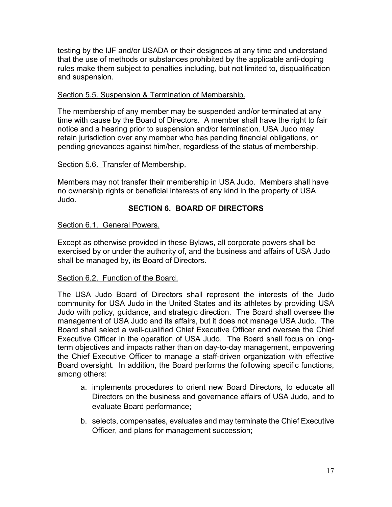testing by the IJF and/or USADA or their designees at any time and understand that the use of methods or substances prohibited by the applicable anti-doping rules make them subject to penalties including, but not limited to, disqualification and suspension.

### <span id="page-22-0"></span>Section 5.5. Suspension & Termination of Membership.

The membership of any member may be suspended and/or terminated at any time with cause by the Board of Directors. A member shall have the right to fair notice and a hearing prior to suspension and/or termination. USA Judo may retain jurisdiction over any member who has pending financial obligations, or pending grievances against him/her, regardless of the status of membership.

### <span id="page-22-1"></span>Section 5.6. Transfer of Membership.

Members may not transfer their membership in USA Judo. Members shall have no ownership rights or beneficial interests of any kind in the property of USA Judo.

# <span id="page-22-2"></span>**SECTION 6. BOARD OF DIRECTORS**

# <span id="page-22-3"></span>Section 6.1. General Powers.

Except as otherwise provided in these Bylaws, all corporate powers shall be exercised by or under the authority of, and the business and affairs of USA Judo shall be managed by, its Board of Directors.

### <span id="page-22-4"></span>Section 6.2. Function of the Board.

The USA Judo Board of Directors shall represent the interests of the Judo community for USA Judo in the United States and its athletes by providing USA Judo with policy, guidance, and strategic direction. The Board shall oversee the management of USA Judo and its affairs, but it does not manage USA Judo. The Board shall select a well-qualified Chief Executive Officer and oversee the Chief Executive Officer in the operation of USA Judo. The Board shall focus on longterm objectives and impacts rather than on day-to-day management, empowering the Chief Executive Officer to manage a staff-driven organization with effective Board oversight. In addition, the Board performs the following specific functions, among others:

- a. implements procedures to orient new Board Directors, to educate all Directors on the business and governance affairs of USA Judo, and to evaluate Board performance;
- b. selects, compensates, evaluates and may terminate the Chief Executive Officer, and plans for management succession;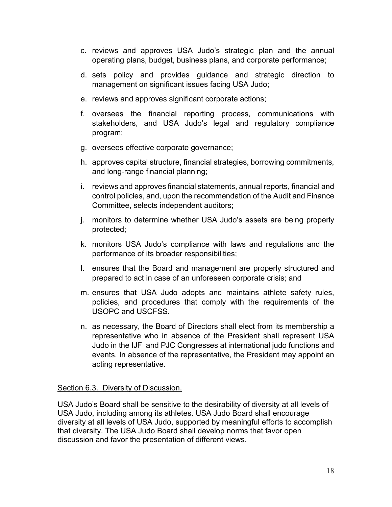- c. reviews and approves USA Judo's strategic plan and the annual operating plans, budget, business plans, and corporate performance;
- d. sets policy and provides guidance and strategic direction to management on significant issues facing USA Judo;
- e. reviews and approves significant corporate actions;
- f. oversees the financial reporting process, communications with stakeholders, and USA Judo's legal and regulatory compliance program;
- g. oversees effective corporate governance;
- h. approves capital structure, financial strategies, borrowing commitments, and long-range financial planning;
- i. reviews and approves financial statements, annual reports, financial and control policies, and, upon the recommendation of the Audit and Finance Committee, selects independent auditors;
- j. monitors to determine whether USA Judo's assets are being properly protected;
- k. monitors USA Judo's compliance with laws and regulations and the performance of its broader responsibilities;
- l. ensures that the Board and management are properly structured and prepared to act in case of an unforeseen corporate crisis; and
- m. ensures that USA Judo adopts and maintains athlete safety rules, policies, and procedures that comply with the requirements of the USOPC and USCFSS.
- n. as necessary, the Board of Directors shall elect from its membership a representative who in absence of the President shall represent USA Judo in the IJF and PJC Congresses at international judo functions and events. In absence of the representative, the President may appoint an acting representative.

### <span id="page-23-0"></span>Section 6.3. Diversity of Discussion.

USA Judo's Board shall be sensitive to the desirability of diversity at all levels of USA Judo, including among its athletes. USA Judo Board shall encourage diversity at all levels of USA Judo, supported by meaningful efforts to accomplish that diversity. The USA Judo Board shall develop norms that favor open discussion and favor the presentation of different views.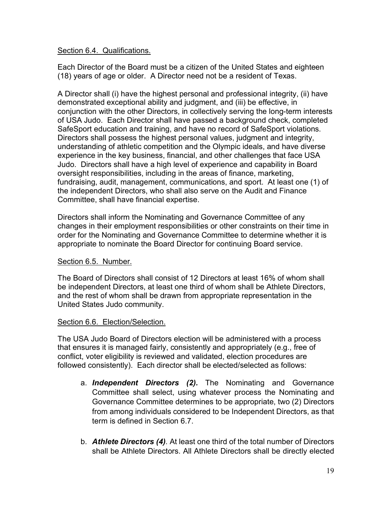### <span id="page-24-0"></span>Section 6.4. Qualifications.

Each Director of the Board must be a citizen of the United States and eighteen (18) years of age or older. A Director need not be a resident of Texas.

A Director shall (i) have the highest personal and professional integrity, (ii) have demonstrated exceptional ability and judgment, and (iii) be effective, in conjunction with the other Directors, in collectively serving the long-term interests of USA Judo. Each Director shall have passed a background check, completed SafeSport education and training, and have no record of SafeSport violations. Directors shall possess the highest personal values, judgment and integrity, understanding of athletic competition and the Olympic ideals, and have diverse experience in the key business, financial, and other challenges that face USA Judo. Directors shall have a high level of experience and capability in Board oversight responsibilities, including in the areas of finance, marketing, fundraising, audit, management, communications, and sport. At least one (1) of the independent Directors, who shall also serve on the Audit and Finance Committee, shall have financial expertise.

Directors shall inform the Nominating and Governance Committee of any changes in their employment responsibilities or other constraints on their time in order for the Nominating and Governance Committee to determine whether it is appropriate to nominate the Board Director for continuing Board service.

### <span id="page-24-1"></span>Section 6.5. Number.

The Board of Directors shall consist of 12 Directors at least 16% of whom shall be independent Directors, at least one third of whom shall be Athlete Directors, and the rest of whom shall be drawn from appropriate representation in the United States Judo community.

### <span id="page-24-2"></span>Section 6.6. Election/Selection.

The USA Judo Board of Directors election will be administered with a process that ensures it is managed fairly, consistently and appropriately (e.g., free of conflict, voter eligibility is reviewed and validated, election procedures are followed consistently). Each director shall be elected/selected as follows:

- a. *Independent Directors (2).* The Nominating and Governance Committee shall select, using whatever process the Nominating and Governance Committee determines to be appropriate, two (2) Directors from among individuals considered to be Independent Directors, as that term is defined in Section 6.7.
- b. *Athlete Directors (4).* At least one third of the total number of Directors shall be Athlete Directors. All Athlete Directors shall be directly elected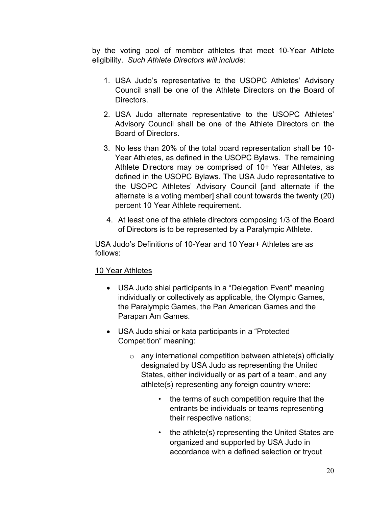by the voting pool of member athletes that meet 10-Year Athlete eligibility. *Such Athlete Directors will include:*

- 1. USA Judo's representative to the USOPC Athletes' Advisory Council shall be one of the Athlete Directors on the Board of **Directors**
- 2. USA Judo alternate representative to the USOPC Athletes' Advisory Council shall be one of the Athlete Directors on the Board of Directors.
- 3. No less than 20% of the total board representation shall be 10- Year Athletes, as defined in the USOPC Bylaws. The remaining Athlete Directors may be comprised of 10+ Year Athletes, as defined in the USOPC Bylaws. The USA Judo representative to the USOPC Athletes' Advisory Council [and alternate if the alternate is a voting member] shall count towards the twenty (20) percent 10 Year Athlete requirement.
- 4. At least one of the athlete directors composing 1/3 of the Board of Directors is to be represented by a Paralympic Athlete.

USA Judo's Definitions of 10-Year and 10 Year+ Athletes are as follows:

# <span id="page-25-0"></span>10 Year Athletes

- USA Judo shiai participants in a "Delegation Event" meaning individually or collectively as applicable, the Olympic Games, the Paralympic Games, the Pan American Games and the Parapan Am Games.
- USA Judo shiai or kata participants in a "Protected Competition" meaning:
	- $\circ$  any international competition between athlete(s) officially designated by USA Judo as representing the United States, either individually or as part of a team, and any athlete(s) representing any foreign country where:
		- the terms of such competition require that the entrants be individuals or teams representing their respective nations;
		- the athlete(s) representing the United States are organized and supported by USA Judo in accordance with a defined selection or tryout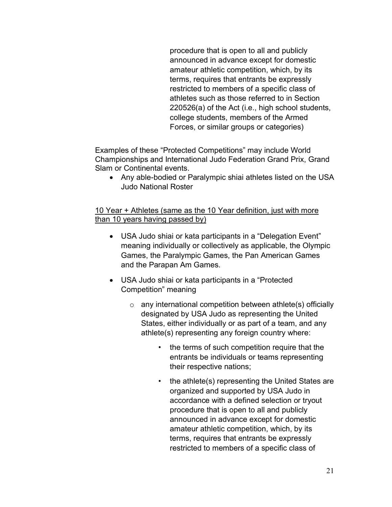procedure that is open to all and publicly announced in advance except for domestic amateur athletic competition, which, by its terms, requires that entrants be expressly restricted to members of a specific class of athletes such as those referred to in Section 220526(a) of the Act (i.e., high school students, college students, members of the Armed Forces, or similar groups or categories)

Examples of these "Protected Competitions" may include World Championships and International Judo Federation Grand Prix, Grand Slam or Continental events.

• Any able-bodied or Paralympic shiai athletes listed on the USA Judo National Roster

# <span id="page-26-0"></span>10 Year + Athletes (same as the 10 Year definition, just with more than 10 years having passed by)

- USA Judo shiai or kata participants in a "Delegation Event" meaning individually or collectively as applicable, the Olympic Games, the Paralympic Games, the Pan American Games and the Parapan Am Games.
- USA Judo shiai or kata participants in a "Protected Competition" meaning
	- $\circ$  any international competition between athlete(s) officially designated by USA Judo as representing the United States, either individually or as part of a team, and any athlete(s) representing any foreign country where:
		- the terms of such competition require that the entrants be individuals or teams representing their respective nations;
		- the athlete(s) representing the United States are organized and supported by USA Judo in accordance with a defined selection or tryout procedure that is open to all and publicly announced in advance except for domestic amateur athletic competition, which, by its terms, requires that entrants be expressly restricted to members of a specific class of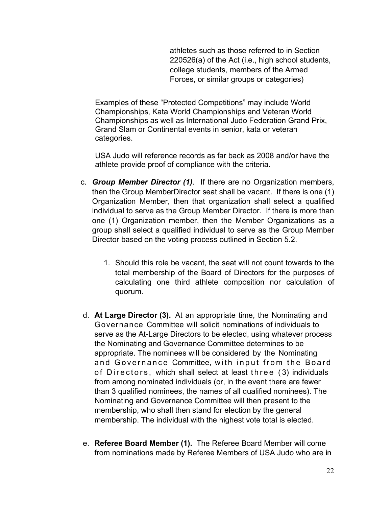athletes such as those referred to in Section 220526(a) of the Act (i.e., high school students, college students, members of the Armed Forces, or similar groups or categories)

Examples of these "Protected Competitions" may include World Championships, Kata World Championships and Veteran World Championships as well as International Judo Federation Grand Prix, Grand Slam or Continental events in senior, kata or veteran categories.

USA Judo will reference records as far back as 2008 and/or have the athlete provide proof of compliance with the criteria.

- c. *Group Member Director (1)*. If there are no Organization members, then the Group MemberDirector seat shall be vacant. If there is one (1) Organization Member, then that organization shall select a qualified individual to serve as the Group Member Director. If there is more than one (1) Organization member, then the Member Organizations as a group shall select a qualified individual to serve as the Group Member Director based on the voting process outlined in Section 5.2.
	- 1. Should this role be vacant, the seat will not count towards to the total membership of the Board of Directors for the purposes of calculating one third athlete composition nor calculation of quorum.
- d. **At Large Director (3).** At an appropriate time, the Nominating and Governance Committee will solicit nominations of individuals to serve as the At-Large Directors to be elected, using whatever process the Nominating and Governance Committee determines to be appropriate. The nominees will be considered by the Nominating and Governance Committee, with input from the Board of Directors, which shall select at least three ( 3) individuals from among nominated individuals (or, in the event there are fewer than 3 qualified nominees, the names of all qualified nominees). The Nominating and Governance Committee will then present to the membership, who shall then stand for election by the general membership. The individual with the highest vote total is elected.
- e. **Referee Board Member (1).** The Referee Board Member will come from nominations made by Referee Members of USA Judo who are in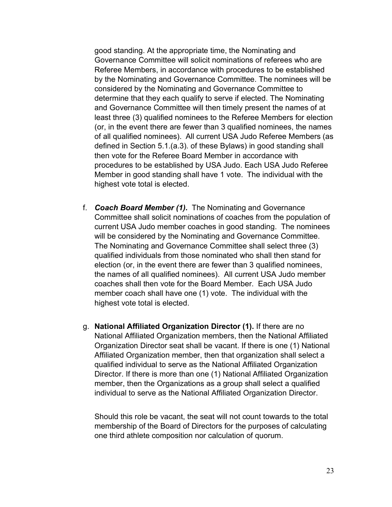good standing. At the appropriate time, the Nominating and Governance Committee will solicit nominations of referees who are Referee Members, in accordance with procedures to be established by the Nominating and Governance Committee. The nominees will be considered by the Nominating and Governance Committee to determine that they each qualify to serve if elected. The Nominating and Governance Committee will then timely present the names of at least three (3) qualified nominees to the Referee Members for election (or, in the event there are fewer than 3 qualified nominees, the names of all qualified nominees). All current USA Judo Referee Members (as defined in Section 5.1.(a.3). of these Bylaws) in good standing shall then vote for the Referee Board Member in accordance with procedures to be established by USA Judo. Each USA Judo Referee Member in good standing shall have 1 vote. The individual with the highest vote total is elected.

- f. *Coach Board Member (1).* The Nominating and Governance Committee shall solicit nominations of coaches from the population of current USA Judo member coaches in good standing. The nominees will be considered by the Nominating and Governance Committee. The Nominating and Governance Committee shall select three (3) qualified individuals from those nominated who shall then stand for election (or, in the event there are fewer than 3 qualified nominees, the names of all qualified nominees). All current USA Judo member coaches shall then vote for the Board Member. Each USA Judo member coach shall have one (1) vote. The individual with the highest vote total is elected.
- g. **National Affiliated Organization Director (1).** If there are no National Affiliated Organization members, then the National Affiliated Organization Director seat shall be vacant. If there is one (1) National Affiliated Organization member, then that organization shall select a qualified individual to serve as the National Affiliated Organization Director. If there is more than one (1) National Affiliated Organization member, then the Organizations as a group shall select a qualified individual to serve as the National Affiliated Organization Director.

Should this role be vacant, the seat will not count towards to the total membership of the Board of Directors for the purposes of calculating one third athlete composition nor calculation of quorum.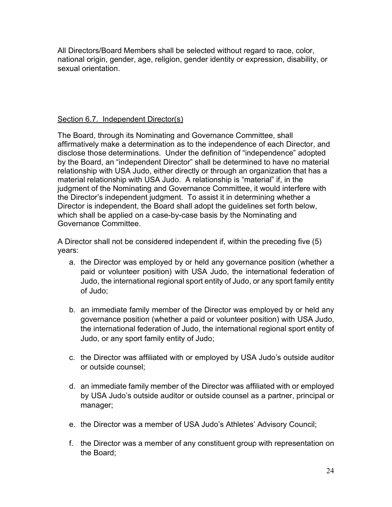All Directors/Board Members shall be selected without regard to race, color, national origin, gender, age, religion, gender identity or expression, disability, or sexual orientation.

# <span id="page-29-0"></span>Section 6.7. Independent Director(s)

The Board, through its Nominating and Governance Committee, shall affirmatively make a determination as to the independence of each Director, and disclose those determinations. Under the definition of "independence" adopted by the Board, an "independent Director" shall be determined to have no material relationship with USA Judo, either directly or through an organization that has a material relationship with USA Judo. A relationship is "material" if, in the judgment of the Nominating and Governance Committee, it would interfere with the Director's independent judgment. To assist it in determining whether a Director is independent, the Board shall adopt the guidelines set forth below, which shall be applied on a case-by-case basis by the Nominating and Governance Committee.

A Director shall not be considered independent if, within the preceding five (5) years:

- a. the Director was employed by or held any governance position (whether a paid or volunteer position) with USA Judo, the international federation of Judo, the international regional sport entity of Judo, or any sport family entity of Judo;
- b. an immediate family member of the Director was employed by or held any governance position (whether a paid or volunteer position) with USA Judo, the international federation of Judo, the international regional sport entity of Judo, or any sport family entity of Judo;
- c. the Director was affiliated with or employed by USA Judo's outside auditor or outside counsel;
- d. an immediate family member of the Director was affiliated with or employed by USA Judo's outside auditor or outside counsel as a partner, principal or manager;
- e. the Director was a member of USA Judo's Athletes' Advisory Council;
- f. the Director was a member of any constituent group with representation on the Board;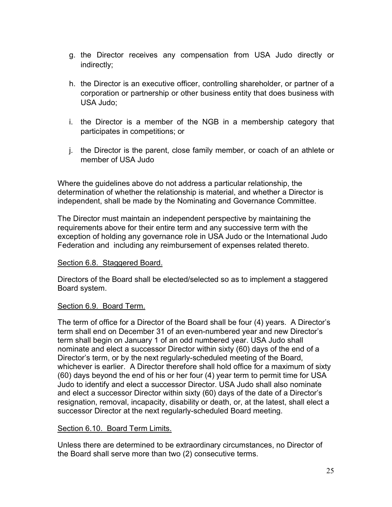- g. the Director receives any compensation from USA Judo directly or indirectly;
- h. the Director is an executive officer, controlling shareholder, or partner of a corporation or partnership or other business entity that does business with USA Judo;
- i. the Director is a member of the NGB in a membership category that participates in competitions; or
- j. the Director is the parent, close family member, or coach of an athlete or member of USA Judo

Where the guidelines above do not address a particular relationship, the determination of whether the relationship is material, and whether a Director is independent, shall be made by the Nominating and Governance Committee.

The Director must maintain an independent perspective by maintaining the requirements above for their entire term and any successive term with the exception of holding any governance role in USA Judo or the International Judo Federation and including any reimbursement of expenses related thereto.

### <span id="page-30-0"></span>Section 6.8. Staggered Board.

Directors of the Board shall be elected/selected so as to implement a staggered Board system.

### <span id="page-30-1"></span>Section 6.9. Board Term.

The term of office for a Director of the Board shall be four (4) years. A Director's term shall end on December 31 of an even-numbered year and new Director's term shall begin on January 1 of an odd numbered year. USA Judo shall nominate and elect a successor Director within sixty (60) days of the end of a Director's term, or by the next regularly-scheduled meeting of the Board, whichever is earlier. A Director therefore shall hold office for a maximum of sixty (60) days beyond the end of his or her four (4) year term to permit time for USA Judo to identify and elect a successor Director. USA Judo shall also nominate and elect a successor Director within sixty (60) days of the date of a Director's resignation, removal, incapacity, disability or death, or, at the latest, shall elect a successor Director at the next regularly-scheduled Board meeting.

### <span id="page-30-2"></span>Section 6.10. Board Term Limits.

Unless there are determined to be extraordinary circumstances, no Director of the Board shall serve more than two (2) consecutive terms.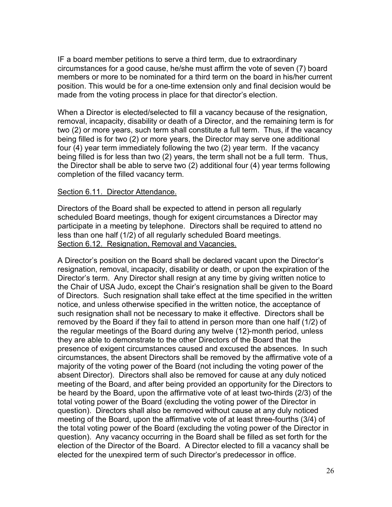IF a board member petitions to serve a third term, due to extraordinary circumstances for a good cause, he/she must affirm the vote of seven (7) board members or more to be nominated for a third term on the board in his/her current position. This would be for a one-time extension only and final decision would be made from the voting process in place for that director's election.

When a Director is elected/selected to fill a vacancy because of the resignation, removal, incapacity, disability or death of a Director, and the remaining term is for two (2) or more years, such term shall constitute a full term. Thus, if the vacancy being filled is for two (2) or more years, the Director may serve one additional four (4) year term immediately following the two (2) year term. If the vacancy being filled is for less than two (2) years, the term shall not be a full term. Thus, the Director shall be able to serve two (2) additional four (4) year terms following completion of the filled vacancy term.

#### <span id="page-31-0"></span>Section 6.11. Director Attendance.

Directors of the Board shall be expected to attend in person all regularly scheduled Board meetings, though for exigent circumstances a Director may participate in a meeting by telephone. Directors shall be required to attend no less than one half (1/2) of all regularly scheduled Board meetings. Section 6.12. Resignation, Removal and Vacancies.

<span id="page-31-1"></span>A Director's position on the Board shall be declared vacant upon the Director's resignation, removal, incapacity, disability or death, or upon the expiration of the Director's term. Any Director shall resign at any time by giving written notice to the Chair of USA Judo, except the Chair's resignation shall be given to the Board of Directors. Such resignation shall take effect at the time specified in the written notice, and unless otherwise specified in the written notice, the acceptance of such resignation shall not be necessary to make it effective. Directors shall be removed by the Board if they fail to attend in person more than one half (1/2) of the regular meetings of the Board during any twelve (12)-month period, unless they are able to demonstrate to the other Directors of the Board that the presence of exigent circumstances caused and excused the absences. In such circumstances, the absent Directors shall be removed by the affirmative vote of a majority of the voting power of the Board (not including the voting power of the absent Director). Directors shall also be removed for cause at any duly noticed meeting of the Board, and after being provided an opportunity for the Directors to be heard by the Board, upon the affirmative vote of at least two-thirds (2/3) of the total voting power of the Board (excluding the voting power of the Director in question). Directors shall also be removed without cause at any duly noticed meeting of the Board, upon the affirmative vote of at least three-fourths (3/4) of the total voting power of the Board (excluding the voting power of the Director in question). Any vacancy occurring in the Board shall be filled as set forth for the election of the Director of the Board. A Director elected to fill a vacancy shall be elected for the unexpired term of such Director's predecessor in office.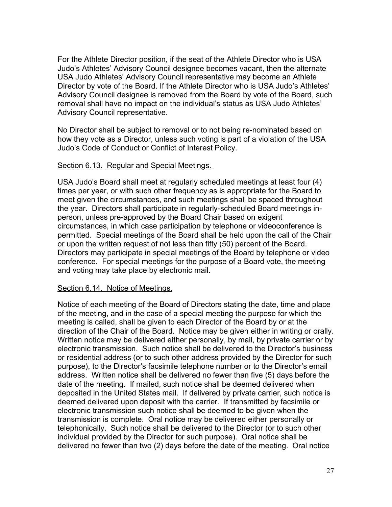For the Athlete Director position, if the seat of the Athlete Director who is USA Judo's Athletes' Advisory Council designee becomes vacant, then the alternate USA Judo Athletes' Advisory Council representative may become an Athlete Director by vote of the Board. If the Athlete Director who is USA Judo's Athletes' Advisory Council designee is removed from the Board by vote of the Board, such removal shall have no impact on the individual's status as USA Judo Athletes' Advisory Council representative.

No Director shall be subject to removal or to not being re-nominated based on how they vote as a Director, unless such voting is part of a violation of the USA Judo's Code of Conduct or Conflict of Interest Policy.

#### <span id="page-32-0"></span>Section 6.13. Regular and Special Meetings.

USA Judo's Board shall meet at regularly scheduled meetings at least four (4) times per year, or with such other frequency as is appropriate for the Board to meet given the circumstances, and such meetings shall be spaced throughout the year. Directors shall participate in regularly-scheduled Board meetings inperson, unless pre-approved by the Board Chair based on exigent circumstances, in which case participation by telephone or videoconference is permitted. Special meetings of the Board shall be held upon the call of the Chair or upon the written request of not less than fifty (50) percent of the Board. Directors may participate in special meetings of the Board by telephone or video conference. For special meetings for the purpose of a Board vote, the meeting and voting may take place by electronic mail.

### <span id="page-32-1"></span>Section 6.14. Notice of Meetings.

Notice of each meeting of the Board of Directors stating the date, time and place of the meeting, and in the case of a special meeting the purpose for which the meeting is called, shall be given to each Director of the Board by or at the direction of the Chair of the Board. Notice may be given either in writing or orally. Written notice may be delivered either personally, by mail, by private carrier or by electronic transmission. Such notice shall be delivered to the Director's business or residential address (or to such other address provided by the Director for such purpose), to the Director's facsimile telephone number or to the Director's email address. Written notice shall be delivered no fewer than five (5) days before the date of the meeting. If mailed, such notice shall be deemed delivered when deposited in the United States mail. If delivered by private carrier, such notice is deemed delivered upon deposit with the carrier. If transmitted by facsimile or electronic transmission such notice shall be deemed to be given when the transmission is complete. Oral notice may be delivered either personally or telephonically. Such notice shall be delivered to the Director (or to such other individual provided by the Director for such purpose). Oral notice shall be delivered no fewer than two (2) days before the date of the meeting. Oral notice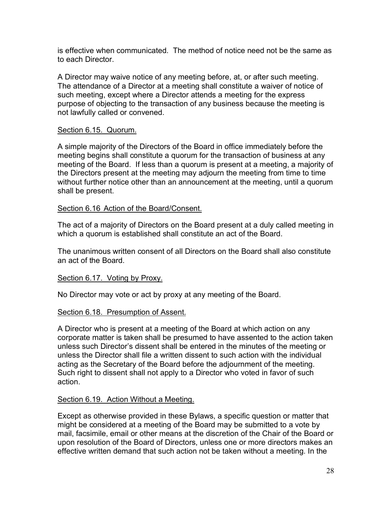is effective when communicated. The method of notice need not be the same as to each Director.

A Director may waive notice of any meeting before, at, or after such meeting. The attendance of a Director at a meeting shall constitute a waiver of notice of such meeting, except where a Director attends a meeting for the express purpose of objecting to the transaction of any business because the meeting is not lawfully called or convened.

### <span id="page-33-0"></span>Section 6.15. Quorum.

A simple majority of the Directors of the Board in office immediately before the meeting begins shall constitute a quorum for the transaction of business at any meeting of the Board. If less than a quorum is present at a meeting, a majority of the Directors present at the meeting may adjourn the meeting from time to time without further notice other than an announcement at the meeting, until a quorum shall be present.

#### <span id="page-33-1"></span>Section 6.16 Action of the Board/Consent.

The act of a majority of Directors on the Board present at a duly called meeting in which a quorum is established shall constitute an act of the Board.

The unanimous written consent of all Directors on the Board shall also constitute an act of the Board.

#### <span id="page-33-2"></span>Section 6.17. Voting by Proxy.

No Director may vote or act by proxy at any meeting of the Board.

#### <span id="page-33-3"></span>Section 6.18. Presumption of Assent.

A Director who is present at a meeting of the Board at which action on any corporate matter is taken shall be presumed to have assented to the action taken unless such Director's dissent shall be entered in the minutes of the meeting or unless the Director shall file a written dissent to such action with the individual acting as the Secretary of the Board before the adjournment of the meeting. Such right to dissent shall not apply to a Director who voted in favor of such action.

### <span id="page-33-4"></span>Section 6.19. Action Without a Meeting.

Except as otherwise provided in these Bylaws, a specific question or matter that might be considered at a meeting of the Board may be submitted to a vote by mail, facsimile, email or other means at the discretion of the Chair of the Board or upon resolution of the Board of Directors, unless one or more directors makes an effective written demand that such action not be taken without a meeting. In the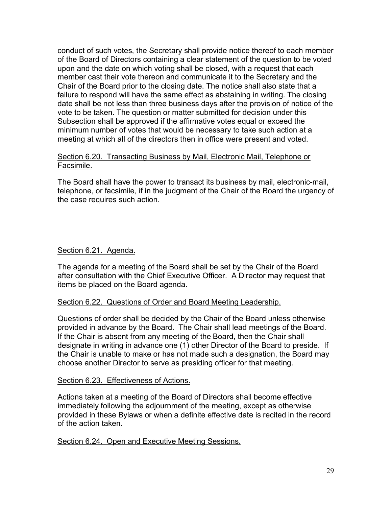conduct of such votes, the Secretary shall provide notice thereof to each member of the Board of Directors containing a clear statement of the question to be voted upon and the date on which voting shall be closed, with a request that each member cast their vote thereon and communicate it to the Secretary and the Chair of the Board prior to the closing date. The notice shall also state that a failure to respond will have the same effect as abstaining in writing. The closing date shall be not less than three business days after the provision of notice of the vote to be taken. The question or matter submitted for decision under this Subsection shall be approved if the affirmative votes equal or exceed the minimum number of votes that would be necessary to take such action at a meeting at which all of the directors then in office were present and voted.

#### <span id="page-34-0"></span>Section 6.20. Transacting Business by Mail, Electronic Mail, Telephone or Facsimile.

The Board shall have the power to transact its business by mail, electronic-mail, telephone, or facsimile, if in the judgment of the Chair of the Board the urgency of the case requires such action.

### <span id="page-34-1"></span>Section 6.21. Agenda.

The agenda for a meeting of the Board shall be set by the Chair of the Board after consultation with the Chief Executive Officer. A Director may request that items be placed on the Board agenda.

### <span id="page-34-2"></span>Section 6.22. Questions of Order and Board Meeting Leadership.

Questions of order shall be decided by the Chair of the Board unless otherwise provided in advance by the Board. The Chair shall lead meetings of the Board. If the Chair is absent from any meeting of the Board, then the Chair shall designate in writing in advance one (1) other Director of the Board to preside. If the Chair is unable to make or has not made such a designation, the Board may choose another Director to serve as presiding officer for that meeting.

#### <span id="page-34-3"></span>Section 6.23. Effectiveness of Actions.

Actions taken at a meeting of the Board of Directors shall become effective immediately following the adjournment of the meeting, except as otherwise provided in these Bylaws or when a definite effective date is recited in the record of the action taken.

<span id="page-34-4"></span>Section 6.24. Open and Executive Meeting Sessions.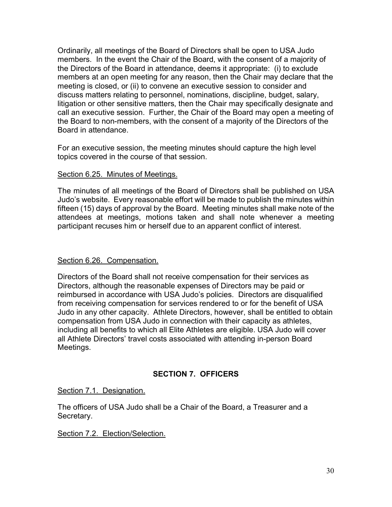Ordinarily, all meetings of the Board of Directors shall be open to USA Judo members. In the event the Chair of the Board, with the consent of a majority of the Directors of the Board in attendance, deems it appropriate: (i) to exclude members at an open meeting for any reason, then the Chair may declare that the meeting is closed, or (ii) to convene an executive session to consider and discuss matters relating to personnel, nominations, discipline, budget, salary, litigation or other sensitive matters, then the Chair may specifically designate and call an executive session. Further, the Chair of the Board may open a meeting of the Board to non-members, with the consent of a majority of the Directors of the Board in attendance.

For an executive session, the meeting minutes should capture the high level topics covered in the course of that session.

### <span id="page-35-0"></span>Section 6.25. Minutes of Meetings.

The minutes of all meetings of the Board of Directors shall be published on USA Judo's website. Every reasonable effort will be made to publish the minutes within fifteen (15) days of approval by the Board. Meeting minutes shall make note of the attendees at meetings, motions taken and shall note whenever a meeting participant recuses him or herself due to an apparent conflict of interest.

### <span id="page-35-1"></span>Section 6.26. Compensation.

Directors of the Board shall not receive compensation for their services as Directors, although the reasonable expenses of Directors may be paid or reimbursed in accordance with USA Judo's policies. Directors are disqualified from receiving compensation for services rendered to or for the benefit of USA Judo in any other capacity. Athlete Directors, however, shall be entitled to obtain compensation from USA Judo in connection with their capacity as athletes, including all benefits to which all Elite Athletes are eligible. USA Judo will cover all Athlete Directors' travel costs associated with attending in-person Board Meetings.

# **SECTION 7. OFFICERS**

<span id="page-35-3"></span><span id="page-35-2"></span>Section 7.1. Designation.

The officers of USA Judo shall be a Chair of the Board, a Treasurer and a Secretary.

<span id="page-35-4"></span>Section 7.2. Election/Selection.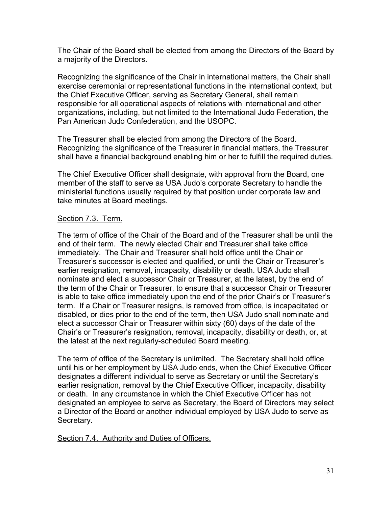The Chair of the Board shall be elected from among the Directors of the Board by a majority of the Directors.

Recognizing the significance of the Chair in international matters, the Chair shall exercise ceremonial or representational functions in the international context, but the Chief Executive Officer, serving as Secretary General, shall remain responsible for all operational aspects of relations with international and other organizations, including, but not limited to the International Judo Federation, the Pan American Judo Confederation, and the USOPC.

The Treasurer shall be elected from among the Directors of the Board. Recognizing the significance of the Treasurer in financial matters, the Treasurer shall have a financial background enabling him or her to fulfill the required duties.

The Chief Executive Officer shall designate, with approval from the Board, one member of the staff to serve as USA Judo's corporate Secretary to handle the ministerial functions usually required by that position under corporate law and take minutes at Board meetings.

#### <span id="page-36-0"></span>Section 7.3. Term.

The term of office of the Chair of the Board and of the Treasurer shall be until the end of their term. The newly elected Chair and Treasurer shall take office immediately. The Chair and Treasurer shall hold office until the Chair or Treasurer's successor is elected and qualified, or until the Chair or Treasurer's earlier resignation, removal, incapacity, disability or death. USA Judo shall nominate and elect a successor Chair or Treasurer, at the latest, by the end of the term of the Chair or Treasurer, to ensure that a successor Chair or Treasurer is able to take office immediately upon the end of the prior Chair's or Treasurer's term. If a Chair or Treasurer resigns, is removed from office, is incapacitated or disabled, or dies prior to the end of the term, then USA Judo shall nominate and elect a successor Chair or Treasurer within sixty (60) days of the date of the Chair's or Treasurer's resignation, removal, incapacity, disability or death, or, at the latest at the next regularly-scheduled Board meeting.

The term of office of the Secretary is unlimited. The Secretary shall hold office until his or her employment by USA Judo ends, when the Chief Executive Officer designates a different individual to serve as Secretary or until the Secretary's earlier resignation, removal by the Chief Executive Officer, incapacity, disability or death. In any circumstance in which the Chief Executive Officer has not designated an employee to serve as Secretary, the Board of Directors may select a Director of the Board or another individual employed by USA Judo to serve as Secretary.

<span id="page-36-1"></span>Section 7.4. Authority and Duties of Officers.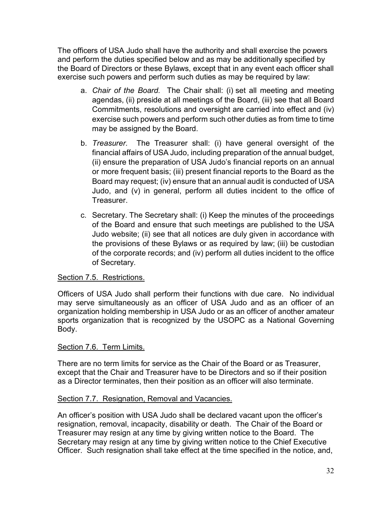The officers of USA Judo shall have the authority and shall exercise the powers and perform the duties specified below and as may be additionally specified by the Board of Directors or these Bylaws, except that in any event each officer shall exercise such powers and perform such duties as may be required by law:

- a. *Chair of the Board.* The Chair shall: (i) set all meeting and meeting agendas, (ii) preside at all meetings of the Board, (iii) see that all Board Commitments, resolutions and oversight are carried into effect and (iv) exercise such powers and perform such other duties as from time to time may be assigned by the Board.
- b. *Treasurer.* The Treasurer shall: (i) have general oversight of the financial affairs of USA Judo, including preparation of the annual budget, (ii) ensure the preparation of USA Judo's financial reports on an annual or more frequent basis; (iii) present financial reports to the Board as the Board may request; (iv) ensure that an annual audit is conducted of USA Judo, and (v) in general, perform all duties incident to the office of Treasurer.
- c. Secretary. The Secretary shall: (i) Keep the minutes of the proceedings of the Board and ensure that such meetings are published to the USA Judo website; (ii) see that all notices are duly given in accordance with the provisions of these Bylaws or as required by law; (iii) be custodian of the corporate records; and (iv) perform all duties incident to the office of Secretary.

# <span id="page-37-0"></span>Section 7.5. Restrictions.

Officers of USA Judo shall perform their functions with due care. No individual may serve simultaneously as an officer of USA Judo and as an officer of an organization holding membership in USA Judo or as an officer of another amateur sports organization that is recognized by the USOPC as a National Governing Body.

# <span id="page-37-1"></span>Section 7.6. Term Limits.

There are no term limits for service as the Chair of the Board or as Treasurer, except that the Chair and Treasurer have to be Directors and so if their position as a Director terminates, then their position as an officer will also terminate.

# <span id="page-37-2"></span>Section 7.7. Resignation, Removal and Vacancies.

An officer's position with USA Judo shall be declared vacant upon the officer's resignation, removal, incapacity, disability or death. The Chair of the Board or Treasurer may resign at any time by giving written notice to the Board. The Secretary may resign at any time by giving written notice to the Chief Executive Officer. Such resignation shall take effect at the time specified in the notice, and,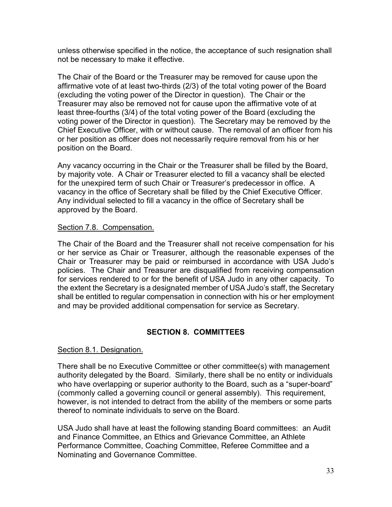unless otherwise specified in the notice, the acceptance of such resignation shall not be necessary to make it effective.

The Chair of the Board or the Treasurer may be removed for cause upon the affirmative vote of at least two-thirds (2/3) of the total voting power of the Board (excluding the voting power of the Director in question). The Chair or the Treasurer may also be removed not for cause upon the affirmative vote of at least three-fourths (3/4) of the total voting power of the Board (excluding the voting power of the Director in question). The Secretary may be removed by the Chief Executive Officer, with or without cause. The removal of an officer from his or her position as officer does not necessarily require removal from his or her position on the Board.

Any vacancy occurring in the Chair or the Treasurer shall be filled by the Board, by majority vote. A Chair or Treasurer elected to fill a vacancy shall be elected for the unexpired term of such Chair or Treasurer's predecessor in office. A vacancy in the office of Secretary shall be filled by the Chief Executive Officer. Any individual selected to fill a vacancy in the office of Secretary shall be approved by the Board.

### <span id="page-38-0"></span>Section 7.8. Compensation.

The Chair of the Board and the Treasurer shall not receive compensation for his or her service as Chair or Treasurer, although the reasonable expenses of the Chair or Treasurer may be paid or reimbursed in accordance with USA Judo's policies. The Chair and Treasurer are disqualified from receiving compensation for services rendered to or for the benefit of USA Judo in any other capacity. To the extent the Secretary is a designated member of USA Judo's staff, the Secretary shall be entitled to regular compensation in connection with his or her employment and may be provided additional compensation for service as Secretary.

# **SECTION 8. COMMITTEES**

# <span id="page-38-1"></span>Section 8.1. Designation.

There shall be no Executive Committee or other committee(s) with management authority delegated by the Board. Similarly, there shall be no entity or individuals who have overlapping or superior authority to the Board, such as a "super-board" (commonly called a governing council or general assembly). This requirement, however, is not intended to detract from the ability of the members or some parts thereof to nominate individuals to serve on the Board.

USA Judo shall have at least the following standing Board committees: an Audit and Finance Committee, an Ethics and Grievance Committee, an Athlete Performance Committee, Coaching Committee, Referee Committee and a Nominating and Governance Committee.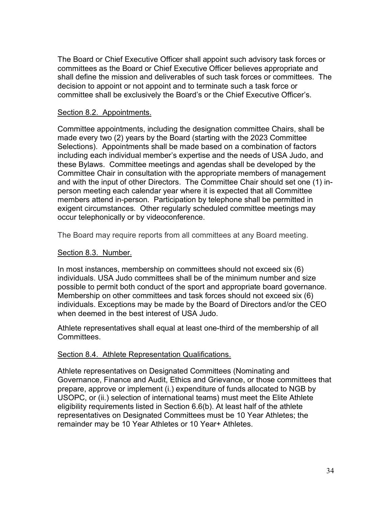The Board or Chief Executive Officer shall appoint such advisory task forces or committees as the Board or Chief Executive Officer believes appropriate and shall define the mission and deliverables of such task forces or committees. The decision to appoint or not appoint and to terminate such a task force or committee shall be exclusively the Board's or the Chief Executive Officer's.

#### <span id="page-39-0"></span>Section 8.2. Appointments.

Committee appointments, including the designation committee Chairs, shall be made every two (2) years by the Board (starting with the 2023 Committee Selections). Appointments shall be made based on a combination of factors including each individual member's expertise and the needs of USA Judo, and these Bylaws. Committee meetings and agendas shall be developed by the Committee Chair in consultation with the appropriate members of management and with the input of other Directors. The Committee Chair should set one (1) inperson meeting each calendar year where it is expected that all Committee members attend in-person. Participation by telephone shall be permitted in exigent circumstances. Other regularly scheduled committee meetings may occur telephonically or by videoconference.

The Board may require reports from all committees at any Board meeting.

#### <span id="page-39-1"></span>Section 8.3. Number.

In most instances, membership on committees should not exceed six (6) individuals. USA Judo committees shall be of the minimum number and size possible to permit both conduct of the sport and appropriate board governance. Membership on other committees and task forces should not exceed six (6) individuals. Exceptions may be made by the Board of Directors and/or the CEO when deemed in the best interest of USA Judo.

Athlete representatives shall equal at least one-third of the membership of all Committees.

### <span id="page-39-2"></span>Section 8.4. Athlete Representation Qualifications.

Athlete representatives on Designated Committees (Nominating and Governance, Finance and Audit, Ethics and Grievance, or those committees that prepare, approve or implement (i.) expenditure of funds allocated to NGB by USOPC, or (ii.) selection of international teams) must meet the Elite Athlete eligibility requirements listed in Section 6.6(b). At least half of the athlete representatives on Designated Committees must be 10 Year Athletes; the remainder may be 10 Year Athletes or 10 Year+ Athletes.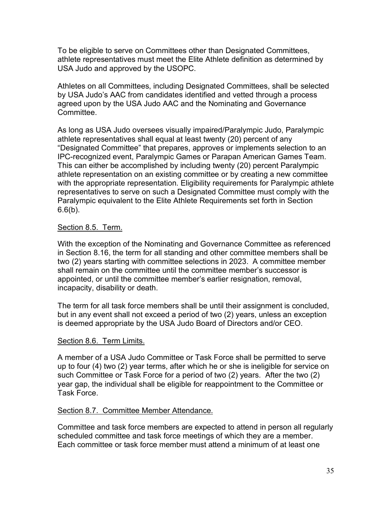To be eligible to serve on Committees other than Designated Committees, athlete representatives must meet the Elite Athlete definition as determined by USA Judo and approved by the USOPC.

Athletes on all Committees, including Designated Committees, shall be selected by USA Judo's AAC from candidates identified and vetted through a process agreed upon by the USA Judo AAC and the Nominating and Governance Committee.

As long as USA Judo oversees visually impaired/Paralympic Judo, Paralympic athlete representatives shall equal at least twenty (20) percent of any "Designated Committee" that prepares, approves or implements selection to an IPC-recognized event, Paralympic Games or Parapan American Games Team. This can either be accomplished by including twenty (20) percent Paralympic athlete representation on an existing committee or by creating a new committee with the appropriate representation. Eligibility requirements for Paralympic athlete representatives to serve on such a Designated Committee must comply with the Paralympic equivalent to the Elite Athlete Requirements set forth in Section  $6.6(b)$ .

# <span id="page-40-0"></span>Section 8.5. Term.

With the exception of the Nominating and Governance Committee as referenced in Section 8.16, the term for all standing and other committee members shall be two (2) years starting with committee selections in 2023. A committee member shall remain on the committee until the committee member's successor is appointed, or until the committee member's earlier resignation, removal, incapacity, disability or death.

The term for all task force members shall be until their assignment is concluded, but in any event shall not exceed a period of two (2) years, unless an exception is deemed appropriate by the USA Judo Board of Directors and/or CEO.

### <span id="page-40-1"></span>Section 8.6. Term Limits.

A member of a USA Judo Committee or Task Force shall be permitted to serve up to four (4) two (2) year terms, after which he or she is ineligible for service on such Committee or Task Force for a period of two (2) years. After the two (2) year gap, the individual shall be eligible for reappointment to the Committee or Task Force.

### <span id="page-40-2"></span>Section 8.7. Committee Member Attendance.

Committee and task force members are expected to attend in person all regularly scheduled committee and task force meetings of which they are a member. Each committee or task force member must attend a minimum of at least one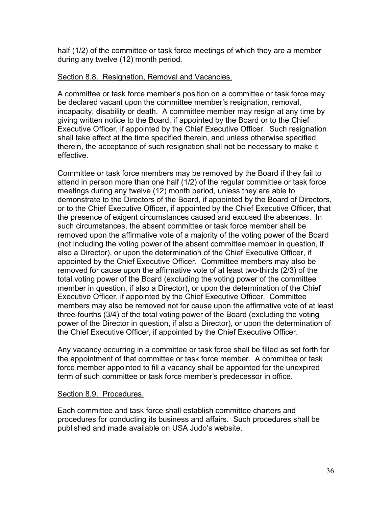half (1/2) of the committee or task force meetings of which they are a member during any twelve (12) month period.

### <span id="page-41-0"></span>Section 8.8. Resignation, Removal and Vacancies.

A committee or task force member's position on a committee or task force may be declared vacant upon the committee member's resignation, removal, incapacity, disability or death. A committee member may resign at any time by giving written notice to the Board, if appointed by the Board or to the Chief Executive Officer, if appointed by the Chief Executive Officer. Such resignation shall take effect at the time specified therein, and unless otherwise specified therein, the acceptance of such resignation shall not be necessary to make it effective.

Committee or task force members may be removed by the Board if they fail to attend in person more than one half (1/2) of the regular committee or task force meetings during any twelve (12) month period, unless they are able to demonstrate to the Directors of the Board, if appointed by the Board of Directors, or to the Chief Executive Officer, if appointed by the Chief Executive Officer, that the presence of exigent circumstances caused and excused the absences. In such circumstances, the absent committee or task force member shall be removed upon the affirmative vote of a majority of the voting power of the Board (not including the voting power of the absent committee member in question, if also a Director), or upon the determination of the Chief Executive Officer, if appointed by the Chief Executive Officer. Committee members may also be removed for cause upon the affirmative vote of at least two-thirds (2/3) of the total voting power of the Board (excluding the voting power of the committee member in question, if also a Director), or upon the determination of the Chief Executive Officer, if appointed by the Chief Executive Officer. Committee members may also be removed not for cause upon the affirmative vote of at least three-fourths (3/4) of the total voting power of the Board (excluding the voting power of the Director in question, if also a Director), or upon the determination of the Chief Executive Officer, if appointed by the Chief Executive Officer.

Any vacancy occurring in a committee or task force shall be filled as set forth for the appointment of that committee or task force member. A committee or task force member appointed to fill a vacancy shall be appointed for the unexpired term of such committee or task force member's predecessor in office.

### <span id="page-41-1"></span>Section 8.9. Procedures.

Each committee and task force shall establish committee charters and procedures for conducting its business and affairs. Such procedures shall be published and made available on USA Judo's website.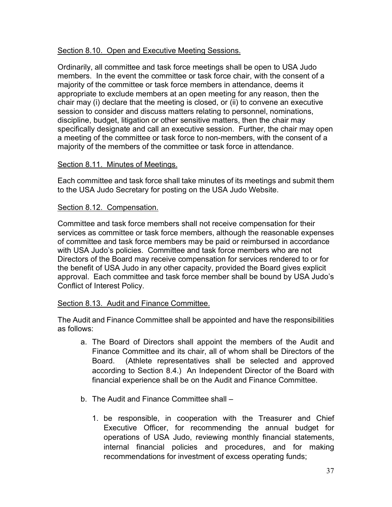# <span id="page-42-0"></span>Section 8.10. Open and Executive Meeting Sessions.

Ordinarily, all committee and task force meetings shall be open to USA Judo members. In the event the committee or task force chair, with the consent of a majority of the committee or task force members in attendance, deems it appropriate to exclude members at an open meeting for any reason, then the chair may (i) declare that the meeting is closed, or (ii) to convene an executive session to consider and discuss matters relating to personnel, nominations, discipline, budget, litigation or other sensitive matters, then the chair may specifically designate and call an executive session. Further, the chair may open a meeting of the committee or task force to non-members, with the consent of a majority of the members of the committee or task force in attendance.

### <span id="page-42-1"></span>Section 8.11. Minutes of Meetings.

Each committee and task force shall take minutes of its meetings and submit them to the USA Judo Secretary for posting on the USA Judo Website.

#### <span id="page-42-2"></span>Section 8.12. Compensation.

Committee and task force members shall not receive compensation for their services as committee or task force members, although the reasonable expenses of committee and task force members may be paid or reimbursed in accordance with USA Judo's policies. Committee and task force members who are not Directors of the Board may receive compensation for services rendered to or for the benefit of USA Judo in any other capacity, provided the Board gives explicit approval. Each committee and task force member shall be bound by USA Judo's Conflict of Interest Policy.

### <span id="page-42-3"></span>Section 8.13. Audit and Finance Committee.

The Audit and Finance Committee shall be appointed and have the responsibilities as follows:

- a. The Board of Directors shall appoint the members of the Audit and Finance Committee and its chair, all of whom shall be Directors of the Board. (Athlete representatives shall be selected and approved according to Section 8.4.) An Independent Director of the Board with financial experience shall be on the Audit and Finance Committee.
- b. The Audit and Finance Committee shall
	- 1. be responsible, in cooperation with the Treasurer and Chief Executive Officer, for recommending the annual budget for operations of USA Judo, reviewing monthly financial statements, internal financial policies and procedures, and for making recommendations for investment of excess operating funds;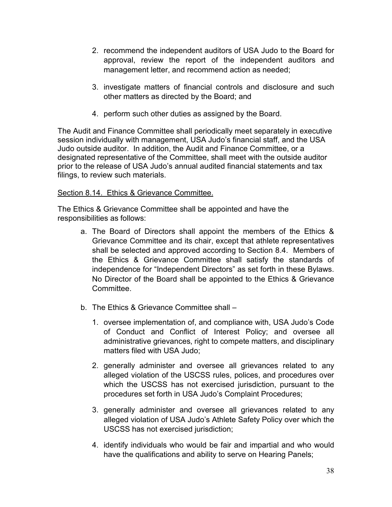- 2. recommend the independent auditors of USA Judo to the Board for approval, review the report of the independent auditors and management letter, and recommend action as needed;
- 3. investigate matters of financial controls and disclosure and such other matters as directed by the Board; and
- 4. perform such other duties as assigned by the Board.

The Audit and Finance Committee shall periodically meet separately in executive session individually with management, USA Judo's financial staff, and the USA Judo outside auditor. In addition, the Audit and Finance Committee, or a designated representative of the Committee, shall meet with the outside auditor prior to the release of USA Judo's annual audited financial statements and tax filings, to review such materials.

# <span id="page-43-0"></span>Section 8.14. Ethics & Grievance Committee.

The Ethics & Grievance Committee shall be appointed and have the responsibilities as follows:

- a. The Board of Directors shall appoint the members of the Ethics & Grievance Committee and its chair, except that athlete representatives shall be selected and approved according to Section 8.4. Members of the Ethics & Grievance Committee shall satisfy the standards of independence for "Independent Directors" as set forth in these Bylaws. No Director of the Board shall be appointed to the Ethics & Grievance **Committee**
- b. The Ethics & Grievance Committee shall
	- 1. oversee implementation of, and compliance with, USA Judo's Code of Conduct and Conflict of Interest Policy; and oversee all administrative grievances, right to compete matters, and disciplinary matters filed with USA Judo;
	- 2. generally administer and oversee all grievances related to any alleged violation of the USCSS rules, polices, and procedures over which the USCSS has not exercised jurisdiction, pursuant to the procedures set forth in USA Judo's Complaint Procedures;
	- 3. generally administer and oversee all grievances related to any alleged violation of USA Judo's Athlete Safety Policy over which the USCSS has not exercised jurisdiction;
	- 4. identify individuals who would be fair and impartial and who would have the qualifications and ability to serve on Hearing Panels;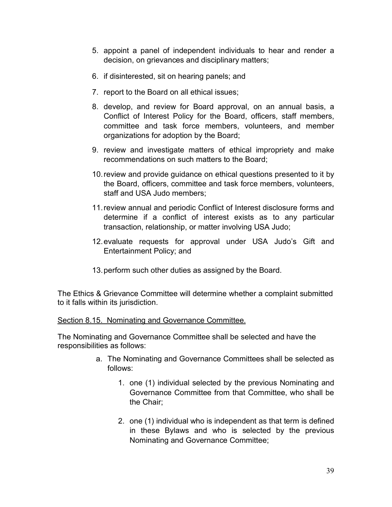- 5. appoint a panel of independent individuals to hear and render a decision, on grievances and disciplinary matters;
- 6. if disinterested, sit on hearing panels; and
- 7. report to the Board on all ethical issues;
- 8. develop, and review for Board approval, on an annual basis, a Conflict of Interest Policy for the Board, officers, staff members, committee and task force members, volunteers, and member organizations for adoption by the Board;
- 9. review and investigate matters of ethical impropriety and make recommendations on such matters to the Board;
- 10.review and provide guidance on ethical questions presented to it by the Board, officers, committee and task force members, volunteers, staff and USA Judo members;
- 11.review annual and periodic Conflict of Interest disclosure forms and determine if a conflict of interest exists as to any particular transaction, relationship, or matter involving USA Judo;
- 12.evaluate requests for approval under USA Judo's Gift and Entertainment Policy; and
- 13.perform such other duties as assigned by the Board.

The Ethics & Grievance Committee will determine whether a complaint submitted to it falls within its jurisdiction.

<span id="page-44-0"></span>Section 8.15. Nominating and Governance Committee.

The Nominating and Governance Committee shall be selected and have the responsibilities as follows:

- a. The Nominating and Governance Committees shall be selected as follows:
	- 1. one (1) individual selected by the previous Nominating and Governance Committee from that Committee, who shall be the Chair;
	- 2. one (1) individual who is independent as that term is defined in these Bylaws and who is selected by the previous Nominating and Governance Committee;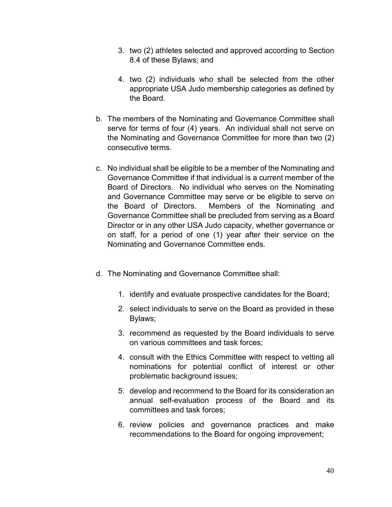- 3. two (2) athletes selected and approved according to Section 8.4 of these Bylaws; and
- 4. two (2) individuals who shall be selected from the other appropriate USA Judo membership categories as defined by the Board.
- b. The members of the Nominating and Governance Committee shall serve for terms of four (4) years. An individual shall not serve on the Nominating and Governance Committee for more than two (2) consecutive terms.
- c. No individual shall be eligible to be a member of the Nominating and Governance Committee if that individual is a current member of the Board of Directors. No individual who serves on the Nominating and Governance Committee may serve or be eligible to serve on the Board of Directors. Members of the Nominating and Governance Committee shall be precluded from serving as a Board Director or in any other USA Judo capacity, whether governance or on staff, for a period of one (1) year after their service on the Nominating and Governance Committee ends.
- d. The Nominating and Governance Committee shall:
	- 1. identify and evaluate prospective candidates for the Board;
	- 2. select individuals to serve on the Board as provided in these Bylaws;
	- 3. recommend as requested by the Board individuals to serve on various committees and task forces;
	- 4. consult with the Ethics Committee with respect to vetting all nominations for potential conflict of interest or other problematic background issues;
	- 5. develop and recommend to the Board for its consideration an annual self-evaluation process of the Board and its committees and task forces;
	- 6. review policies and governance practices and make recommendations to the Board for ongoing improvement;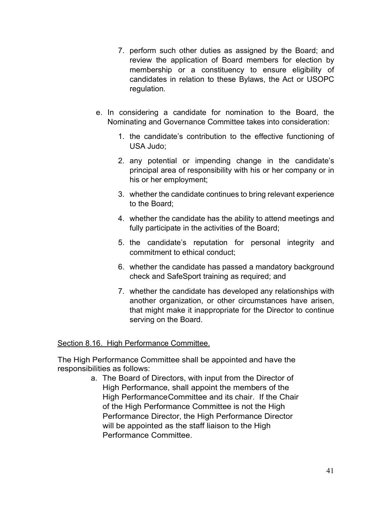- 7. perform such other duties as assigned by the Board; and review the application of Board members for election by membership or a constituency to ensure eligibility of candidates in relation to these Bylaws, the Act or USOPC regulation.
- e. In considering a candidate for nomination to the Board, the Nominating and Governance Committee takes into consideration:
	- 1. the candidate's contribution to the effective functioning of USA Judo;
	- 2. any potential or impending change in the candidate's principal area of responsibility with his or her company or in his or her employment;
	- 3. whether the candidate continues to bring relevant experience to the Board;
	- 4. whether the candidate has the ability to attend meetings and fully participate in the activities of the Board;
	- 5. the candidate's reputation for personal integrity and commitment to ethical conduct;
	- 6. whether the candidate has passed a mandatory background check and SafeSport training as required; and
	- 7. whether the candidate has developed any relationships with another organization, or other circumstances have arisen, that might make it inappropriate for the Director to continue serving on the Board.

# <span id="page-46-0"></span>Section 8.16. High Performance Committee.

The High Performance Committee shall be appointed and have the responsibilities as follows:

> a. The Board of Directors, with input from the Director of High Performance, shall appoint the members of the High PerformanceCommittee and its chair. If the Chair of the High Performance Committee is not the High Performance Director, the High Performance Director will be appointed as the staff liaison to the High Performance Committee.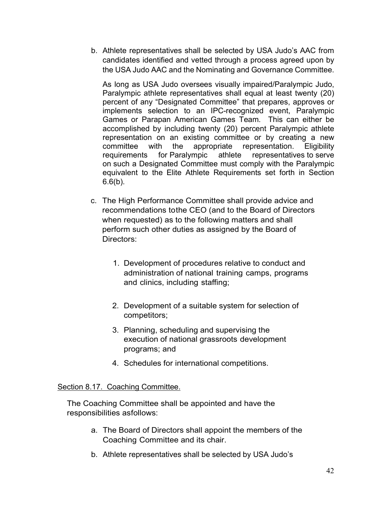b. Athlete representatives shall be selected by USA Judo's AAC from candidates identified and vetted through a process agreed upon by the USA Judo AAC and the Nominating and Governance Committee.

As long as USA Judo oversees visually impaired/Paralympic Judo, Paralympic athlete representatives shall equal at least twenty (20) percent of any "Designated Committee" that prepares, approves or implements selection to an IPC-recognized event, Paralympic Games or Parapan American Games Team. This can either be accomplished by including twenty (20) percent Paralympic athlete representation on an existing committee or by creating a new committee with the appropriate representation. Eligibility requirements for Paralympic athlete representatives to serve on such a Designated Committee must comply with the Paralympic equivalent to the Elite Athlete Requirements set forth in Section  $6.6(b)$ .

- c. The High Performance Committee shall provide advice and recommendations tothe CEO (and to the Board of Directors when requested) as to the following matters and shall perform such other duties as assigned by the Board of Directors:
	- 1. Development of procedures relative to conduct and administration of national training camps, programs and clinics, including staffing;
	- 2. Development of a suitable system for selection of competitors;
	- 3. Planning, scheduling and supervising the execution of national grassroots development programs; and
	- 4. Schedules for international competitions.

### <span id="page-47-0"></span>Section 8.17. Coaching Committee.

The Coaching Committee shall be appointed and have the responsibilities asfollows:

- a. The Board of Directors shall appoint the members of the Coaching Committee and its chair.
- b. Athlete representatives shall be selected by USA Judo's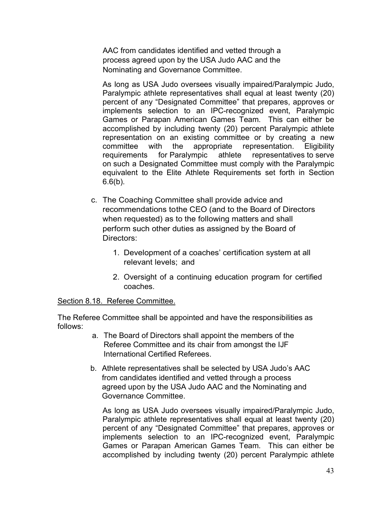AAC from candidates identified and vetted through a process agreed upon by the USA Judo AAC and the Nominating and Governance Committee.

As long as USA Judo oversees visually impaired/Paralympic Judo, Paralympic athlete representatives shall equal at least twenty (20) percent of any "Designated Committee" that prepares, approves or implements selection to an IPC-recognized event, Paralympic Games or Parapan American Games Team. This can either be accomplished by including twenty (20) percent Paralympic athlete representation on an existing committee or by creating a new committee with the appropriate representation. Eligibility requirements for Paralympic athlete representatives to serve on such a Designated Committee must comply with the Paralympic equivalent to the Elite Athlete Requirements set forth in Section  $6.6(b)$ .

- c. The Coaching Committee shall provide advice and recommendations tothe CEO (and to the Board of Directors when requested) as to the following matters and shall perform such other duties as assigned by the Board of Directors:
	- 1. Development of a coaches' certification system at all relevant levels; and
	- 2. Oversight of a continuing education program for certified coaches.

### <span id="page-48-0"></span>Section 8.18. Referee Committee.

The Referee Committee shall be appointed and have the responsibilities as follows:

- a. The Board of Directors shall appoint the members of the Referee Committee and its chair from amongst the IJF International Certified Referees.
- b. Athlete representatives shall be selected by USA Judo's AAC from candidates identified and vetted through a process agreed upon by the USA Judo AAC and the Nominating and Governance Committee.

As long as USA Judo oversees visually impaired/Paralympic Judo, Paralympic athlete representatives shall equal at least twenty (20) percent of any "Designated Committee" that prepares, approves or implements selection to an IPC-recognized event, Paralympic Games or Parapan American Games Team. This can either be accomplished by including twenty (20) percent Paralympic athlete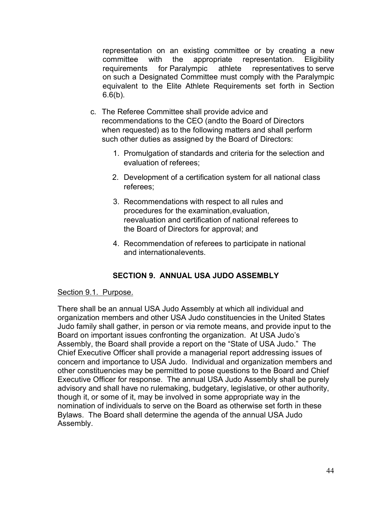representation on an existing committee or by creating a new committee with the appropriate representation. Eligibility requirements for Paralympic athlete representatives to serve on such a Designated Committee must comply with the Paralympic equivalent to the Elite Athlete Requirements set forth in Section  $6.6(b)$ .

- c. The Referee Committee shall provide advice and recommendations to the CEO (andto the Board of Directors when requested) as to the following matters and shall perform such other duties as assigned by the Board of Directors:
	- 1. Promulgation of standards and criteria for the selection and evaluation of referees;
	- 2. Development of a certification system for all national class referees;
	- 3. Recommendations with respect to all rules and procedures for the examination,evaluation, reevaluation and certification of national referees to the Board of Directors for approval; and
	- 4. Recommendation of referees to participate in national and internationalevents.

# **SECTION 9. ANNUAL USA JUDO ASSEMBLY**

### <span id="page-49-1"></span><span id="page-49-0"></span>Section 9.1. Purpose.

There shall be an annual USA Judo Assembly at which all individual and organization members and other USA Judo constituencies in the United States Judo family shall gather, in person or via remote means, and provide input to the Board on important issues confronting the organization. At USA Judo's Assembly, the Board shall provide a report on the "State of USA Judo." The Chief Executive Officer shall provide a managerial report addressing issues of concern and importance to USA Judo. Individual and organization members and other constituencies may be permitted to pose questions to the Board and Chief Executive Officer for response. The annual USA Judo Assembly shall be purely advisory and shall have no rulemaking, budgetary, legislative, or other authority, though it, or some of it, may be involved in some appropriate way in the nomination of individuals to serve on the Board as otherwise set forth in these Bylaws. The Board shall determine the agenda of the annual USA Judo Assembly.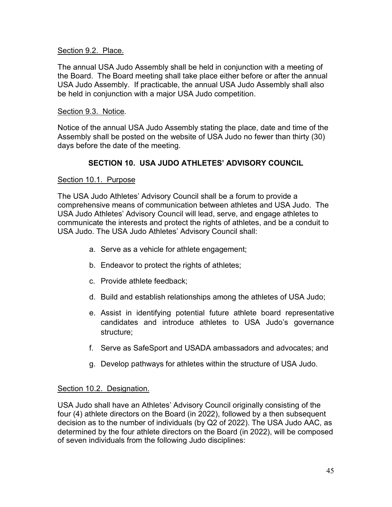### <span id="page-50-0"></span>Section 9.2. Place.

The annual USA Judo Assembly shall be held in conjunction with a meeting of the Board. The Board meeting shall take place either before or after the annual USA Judo Assembly. If practicable, the annual USA Judo Assembly shall also be held in conjunction with a major USA Judo competition.

#### <span id="page-50-1"></span>Section 9.3. Notice.

Notice of the annual USA Judo Assembly stating the place, date and time of the Assembly shall be posted on the website of USA Judo no fewer than thirty (30) days before the date of the meeting.

# **SECTION 10. USA JUDO ATHLETES' ADVISORY COUNCIL**

#### <span id="page-50-3"></span><span id="page-50-2"></span>Section 10.1. Purpose

The USA Judo Athletes' Advisory Council shall be a forum to provide a comprehensive means of communication between athletes and USA Judo. The USA Judo Athletes' Advisory Council will lead, serve, and engage athletes to communicate the interests and protect the rights of athletes, and be a conduit to USA Judo. The USA Judo Athletes' Advisory Council shall:

- a. Serve as a vehicle for athlete engagement;
- b. Endeavor to protect the rights of athletes;
- c. Provide athlete feedback;
- d. Build and establish relationships among the athletes of USA Judo;
- e. Assist in identifying potential future athlete board representative candidates and introduce athletes to USA Judo's governance structure;
- f. Serve as SafeSport and USADA ambassadors and advocates; and
- g. Develop pathways for athletes within the structure of USA Judo.

### <span id="page-50-4"></span>Section 10.2. Designation.

USA Judo shall have an Athletes' Advisory Council originally consisting of the four (4) athlete directors on the Board (in 2022), followed by a then subsequent decision as to the number of individuals (by Q2 of 2022). The USA Judo AAC, as determined by the four athlete directors on the Board (in 2022), will be composed of seven individuals from the following Judo disciplines: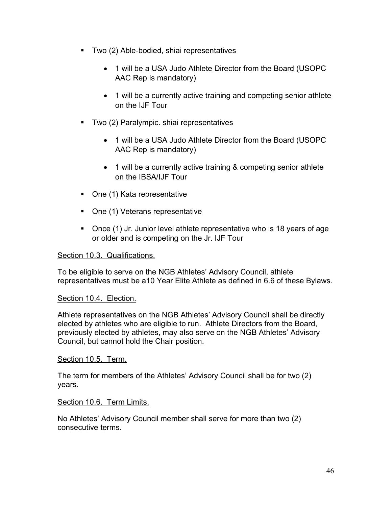- Two (2) Able-bodied, shiai representatives
	- 1 will be a USA Judo Athlete Director from the Board (USOPC AAC Rep is mandatory)
	- 1 will be a currently active training and competing senior athlete on the IJF Tour
- **Two (2) Paralympic. shiai representatives** 
	- 1 will be a USA Judo Athlete Director from the Board (USOPC AAC Rep is mandatory)
	- 1 will be a currently active training & competing senior athlete on the IBSA/IJF Tour
- One (1) Kata representative
- One (1) Veterans representative
- Once (1) Jr. Junior level athlete representative who is 18 years of age or older and is competing on the Jr. IJF Tour

### <span id="page-51-0"></span>Section 10.3. Qualifications.

To be eligible to serve on the NGB Athletes' Advisory Council, athlete representatives must be a10 Year Elite Athlete as defined in 6.6 of these Bylaws.

# <span id="page-51-1"></span>Section 10.4. Election.

Athlete representatives on the NGB Athletes' Advisory Council shall be directly elected by athletes who are eligible to run. Athlete Directors from the Board, previously elected by athletes, may also serve on the NGB Athletes' Advisory Council, but cannot hold the Chair position.

### <span id="page-51-2"></span>Section 10.5. Term.

The term for members of the Athletes' Advisory Council shall be for two (2) years.

### <span id="page-51-3"></span>Section 10.6. Term Limits.

No Athletes' Advisory Council member shall serve for more than two (2) consecutive terms.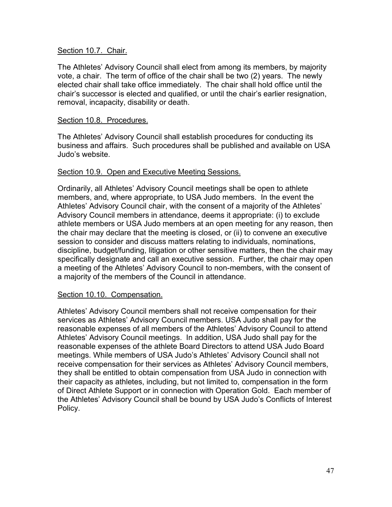#### <span id="page-52-0"></span>Section 10.7. Chair.

The Athletes' Advisory Council shall elect from among its members, by majority vote, a chair. The term of office of the chair shall be two (2) years. The newly elected chair shall take office immediately. The chair shall hold office until the chair's successor is elected and qualified, or until the chair's earlier resignation, removal, incapacity, disability or death.

#### <span id="page-52-1"></span>Section 10.8. Procedures.

The Athletes' Advisory Council shall establish procedures for conducting its business and affairs. Such procedures shall be published and available on USA Judo's website.

#### <span id="page-52-2"></span>Section 10.9. Open and Executive Meeting Sessions.

Ordinarily, all Athletes' Advisory Council meetings shall be open to athlete members, and, where appropriate, to USA Judo members. In the event the Athletes' Advisory Council chair, with the consent of a majority of the Athletes' Advisory Council members in attendance, deems it appropriate: (i) to exclude athlete members or USA Judo members at an open meeting for any reason, then the chair may declare that the meeting is closed, or (ii) to convene an executive session to consider and discuss matters relating to individuals, nominations, discipline, budget/funding, litigation or other sensitive matters, then the chair may specifically designate and call an executive session. Further, the chair may open a meeting of the Athletes' Advisory Council to non-members, with the consent of a majority of the members of the Council in attendance.

#### <span id="page-52-3"></span>Section 10.10. Compensation.

Athletes' Advisory Council members shall not receive compensation for their services as Athletes' Advisory Council members. USA Judo shall pay for the reasonable expenses of all members of the Athletes' Advisory Council to attend Athletes' Advisory Council meetings. In addition, USA Judo shall pay for the reasonable expenses of the athlete Board Directors to attend USA Judo Board meetings. While members of USA Judo's Athletes' Advisory Council shall not receive compensation for their services as Athletes' Advisory Council members, they shall be entitled to obtain compensation from USA Judo in connection with their capacity as athletes, including, but not limited to, compensation in the form of Direct Athlete Support or in connection with Operation Gold. Each member of the Athletes' Advisory Council shall be bound by USA Judo's Conflicts of Interest Policy.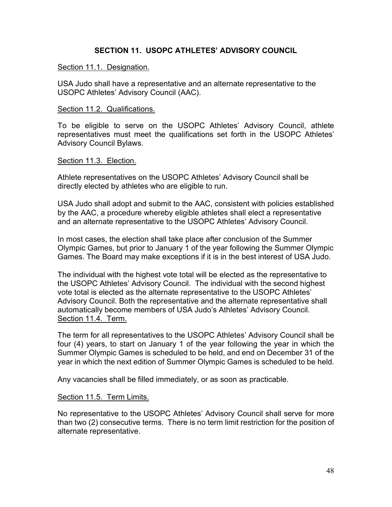### **SECTION 11. USOPC ATHLETES' ADVISORY COUNCIL**

#### <span id="page-53-1"></span><span id="page-53-0"></span>Section 11.1. Designation.

<span id="page-53-2"></span>USA Judo shall have a representative and an alternate representative to the USOPC Athletes' Advisory Council (AAC).

#### <span id="page-53-3"></span>Section 11.2. Qualifications.

To be eligible to serve on the USOPC Athletes' Advisory Council, athlete representatives must meet the qualifications set forth in the USOPC Athletes' Advisory Council Bylaws.

#### <span id="page-53-4"></span>Section 11.3. Election.

Athlete representatives on the USOPC Athletes' Advisory Council shall be directly elected by athletes who are eligible to run.

USA Judo shall adopt and submit to the AAC, consistent with policies established by the AAC, a procedure whereby eligible athletes shall elect a representative and an alternate representative to the USOPC Athletes' Advisory Council.

In most cases, the election shall take place after conclusion of the Summer Olympic Games, but prior to January 1 of the year following the Summer Olympic Games. The Board may make exceptions if it is in the best interest of USA Judo.

The individual with the highest vote total will be elected as the representative to the USOPC Athletes' Advisory Council. The individual with the second highest vote total is elected as the alternate representative to the USOPC Athletes' Advisory Council. Both the representative and the alternate representative shall automatically become members of USA Judo's Athletes' Advisory Council. Section 11.4. Term.

<span id="page-53-5"></span>The term for all representatives to the USOPC Athletes' Advisory Council shall be four (4) years, to start on January 1 of the year following the year in which the Summer Olympic Games is scheduled to be held, and end on December 31 of the year in which the next edition of Summer Olympic Games is scheduled to be held.

Any vacancies shall be filled immediately, or as soon as practicable.

### <span id="page-53-6"></span>Section 11.5. Term Limits.

No representative to the USOPC Athletes' Advisory Council shall serve for more than two (2) consecutive terms. There is no term limit restriction for the position of alternate representative.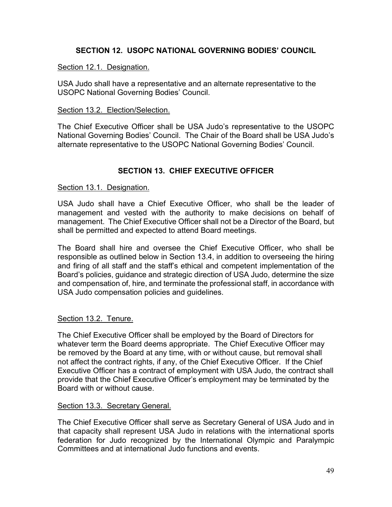# **SECTION 12. USOPC NATIONAL GOVERNING BODIES' COUNCIL**

### <span id="page-54-1"></span><span id="page-54-0"></span>Section 12.1. Designation.

USA Judo shall have a representative and an alternate representative to the USOPC National Governing Bodies' Council.

#### <span id="page-54-2"></span>Section 13.2. Election/Selection.

The Chief Executive Officer shall be USA Judo's representative to the USOPC National Governing Bodies' Council. The Chair of the Board shall be USA Judo's alternate representative to the USOPC National Governing Bodies' Council.

# **SECTION 13. CHIEF EXECUTIVE OFFICER**

#### <span id="page-54-4"></span><span id="page-54-3"></span>Section 13.1. Designation.

USA Judo shall have a Chief Executive Officer, who shall be the leader of management and vested with the authority to make decisions on behalf of management. The Chief Executive Officer shall not be a Director of the Board, but shall be permitted and expected to attend Board meetings.

The Board shall hire and oversee the Chief Executive Officer, who shall be responsible as outlined below in Section 13.4, in addition to overseeing the hiring and firing of all staff and the staff's ethical and competent implementation of the Board's policies, guidance and strategic direction of USA Judo, determine the size and compensation of, hire, and terminate the professional staff, in accordance with USA Judo compensation policies and guidelines.

### <span id="page-54-5"></span>Section 13.2. Tenure.

The Chief Executive Officer shall be employed by the Board of Directors for whatever term the Board deems appropriate. The Chief Executive Officer may be removed by the Board at any time, with or without cause, but removal shall not affect the contract rights, if any, of the Chief Executive Officer. If the Chief Executive Officer has a contract of employment with USA Judo, the contract shall provide that the Chief Executive Officer's employment may be terminated by the Board with or without cause.

#### <span id="page-54-6"></span>Section 13.3. Secretary General.

The Chief Executive Officer shall serve as Secretary General of USA Judo and in that capacity shall represent USA Judo in relations with the international sports federation for Judo recognized by the International Olympic and Paralympic Committees and at international Judo functions and events.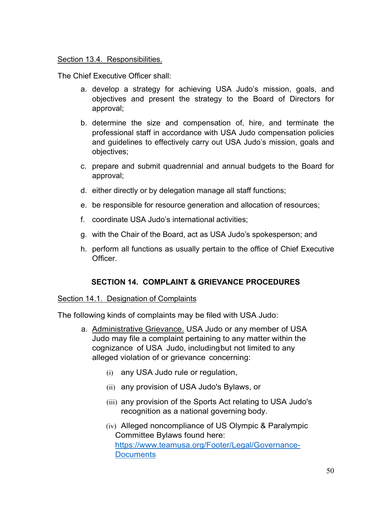### <span id="page-55-0"></span>Section 13.4. Responsibilities.

The Chief Executive Officer shall:

- a. develop a strategy for achieving USA Judo's mission, goals, and objectives and present the strategy to the Board of Directors for approval;
- b. determine the size and compensation of, hire, and terminate the professional staff in accordance with USA Judo compensation policies and guidelines to effectively carry out USA Judo's mission, goals and objectives;
- c. prepare and submit quadrennial and annual budgets to the Board for approval;
- d. either directly or by delegation manage all staff functions;
- e. be responsible for resource generation and allocation of resources;
- f. coordinate USA Judo's international activities;
- g. with the Chair of the Board, act as USA Judo's spokesperson; and
- h. perform all functions as usually pertain to the office of Chief Executive Officer.

# **SECTION 14. COMPLAINT & GRIEVANCE PROCEDURES**

### <span id="page-55-2"></span><span id="page-55-1"></span>Section 14.1. Designation of Complaints

The following kinds of complaints may be filed with USA Judo:

- a. Administrative Grievance. USA Judo or any member of USA Judo may file a complaint pertaining to any matter within the cognizance of USA Judo, includingbut not limited to any alleged violation of or grievance concerning:
	- (i) any USA Judo rule or regulation,
	- (ii) any provision of USA Judo's Bylaws, or
	- (iii) any provision of the Sports Act relating to USA Judo's recognition as a national governing body.
	- (iv) Alleged noncompliance of US Olympic & Paralympic Committee Bylaws found here: [https://www.teamusa.org/Footer/Legal/Governance-](https://www.teamusa.org/Footer/Legal/Governance-Documents)**[Documents](https://www.teamusa.org/Footer/Legal/Governance-Documents)**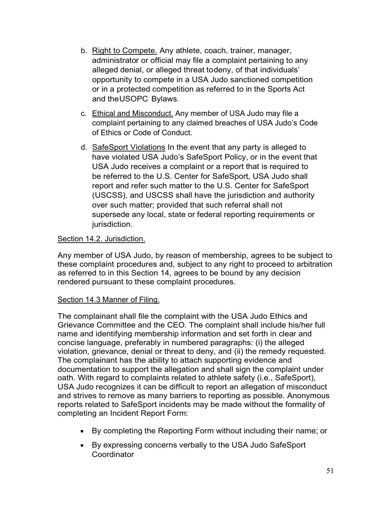- b. Right to Compete. Any athlete, coach, trainer, manager, administrator or official may file a complaint pertaining to any alleged denial, or alleged threat todeny, of that individuals' opportunity to compete in a USA Judo sanctioned competition or in a protected competition as referred to in the Sports Act and theUSOPC Bylaws.
- c. Ethical and Misconduct. Any member of USA Judo may file a complaint pertaining to any claimed breaches of USA Judo's Code of Ethics or Code of Conduct.
- d. SafeSport Violations In the event that any party is alleged to have violated USA Judo's SafeSport Policy, or in the event that USA Judo receives a complaint or a report that is required to be referred to the U.S. Center for SafeSport, USA Judo shall report and refer such matter to the U.S. Center for SafeSport (USCSS), and USCSS shall have the jurisdiction and authority over such matter; provided that such referral shall not supersede any local, state or federal reporting requirements or jurisdiction.

# <span id="page-56-0"></span>Section 14.2. Jurisdiction.

Any member of USA Judo, by reason of membership, agrees to be subject to these complaint procedures and, subject to any right to proceed to arbitration as referred to in this Section 14, agrees to be bound by any decision rendered pursuant to these complaint procedures.

# <span id="page-56-1"></span>Section 14.3 Manner of Filing.

The complainant shall file the complaint with the USA Judo Ethics and Grievance Committee and the CEO. The complaint shall include his/her full name and identifying membership information and set forth in clear and concise language, preferably in numbered paragraphs: (i) the alleged violation, grievance, denial or threat to deny, and (ii) the remedy requested. The complainant has the ability to attach supporting evidence and documentation to support the allegation and shall sign the complaint under oath. With regard to complaints related to athlete safety (i.e., SafeSport), USA Judo recognizes it can be difficult to report an allegation of misconduct and strives to remove as many barriers to reporting as possible. Anonymous reports related to SafeSport incidents may be made without the formality of completing an Incident Report Form:

- By completing the Reporting Form without including their name; or
- By expressing concerns verbally to the USA Judo SafeSport **Coordinator**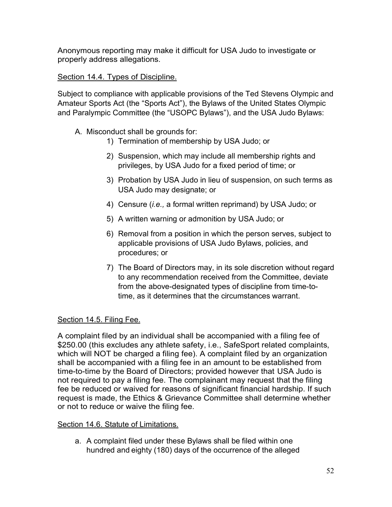Anonymous reporting may make it difficult for USA Judo to investigate or properly address allegations.

# <span id="page-57-0"></span>Section 14.4. Types of Discipline.

Subject to compliance with applicable provisions of the Ted Stevens Olympic and Amateur Sports Act (the "Sports Act"), the Bylaws of the United States Olympic and Paralympic Committee (the "USOPC Bylaws"), and the USA Judo Bylaws:

- A. Misconduct shall be grounds for:
	- 1) Termination of membership by USA Judo; or
	- 2) Suspension, which may include all membership rights and privileges, by USA Judo for a fixed period of time; or
	- 3) Probation by USA Judo in lieu of suspension, on such terms as USA Judo may designate; or
	- 4) Censure (*i.e.,* a formal written reprimand) by USA Judo; or
	- 5) A written warning or admonition by USA Judo; or
	- 6) Removal from a position in which the person serves, subject to applicable provisions of USA Judo Bylaws, policies, and procedures; or
	- 7) The Board of Directors may, in its sole discretion without regard to any recommendation received from the Committee, deviate from the above-designated types of discipline from time-totime, as it determines that the circumstances warrant.

# <span id="page-57-1"></span>Section 14.5. Filing Fee.

A complaint filed by an individual shall be accompanied with a filing fee of \$250.00 (this excludes any athlete safety, i.e., SafeSport related complaints, which will NOT be charged a filing fee). A complaint filed by an organization shall be accompanied with a filing fee in an amount to be established from time-to-time by the Board of Directors; provided however that USA Judo is not required to pay a filing fee. The complainant may request that the filing fee be reduced or waived for reasons of significant financial hardship. If such request is made, the Ethics & Grievance Committee shall determine whether or not to reduce or waive the filing fee.

# <span id="page-57-2"></span>Section 14.6. Statute of Limitations.

a. A complaint filed under these Bylaws shall be filed within one hundred and eighty (180) days of the occurrence of the alleged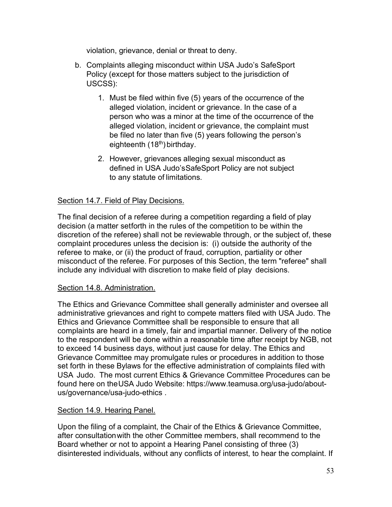violation, grievance, denial or threat to deny.

- b. Complaints alleging misconduct within USA Judo's SafeSport Policy (except for those matters subject to the jurisdiction of USCSS):
	- 1. Must be filed within five (5) years of the occurrence of the alleged violation, incident or grievance. In the case of a person who was a minor at the time of the occurrence of the alleged violation, incident or grievance, the complaint must be filed no later than five (5) years following the person's eighteenth (18<sup>th</sup>) birthday.
	- 2. However, grievances alleging sexual misconduct as defined in USA Judo'sSafeSport Policy are not subject to any statute of limitations.

# <span id="page-58-0"></span>Section 14.7. Field of Play Decisions.

The final decision of a referee during a competition regarding a field of play decision (a matter setforth in the rules of the competition to be within the discretion of the referee) shall not be reviewable through, or the subject of, these complaint procedures unless the decision is: (i) outside the authority of the referee to make, or (ii) the product of fraud, corruption, partiality or other misconduct of the referee. For purposes of this Section, the term "referee" shall include any individual with discretion to make field of play decisions.

### <span id="page-58-1"></span>Section 14.8. Administration.

The Ethics and Grievance Committee shall generally administer and oversee all administrative grievances and right to compete matters filed with USA Judo. The Ethics and Grievance Committee shall be responsible to ensure that all complaints are heard in a timely, fair and impartial manner. Delivery of the notice to the respondent will be done within a reasonable time after receipt by NGB, not to exceed 14 business days, without just cause for delay. The Ethics and Grievance Committee may promulgate rules or procedures in addition to those set forth in these Bylaws for the effective administration of complaints filed with USA Judo. The most current Ethics & Grievance Committee Procedures can be found here on theUSA Judo Website: [https://www.teamusa.org/usa-judo/about](https://www.teamusa.org/usa-judo/about-us/governance/usa-judo-ethics%20.)[us/governance/usa-judo-ethics .](https://www.teamusa.org/usa-judo/about-us/governance/usa-judo-ethics%20.)

### <span id="page-58-2"></span>Section 14.9. Hearing Panel.

Upon the filing of a complaint, the Chair of the Ethics & Grievance Committee, after consultation with the other Committee members, shall recommend to the Board whether or not to appoint a Hearing Panel consisting of three (3) disinterested individuals, without any conflicts of interest, to hear the complaint. If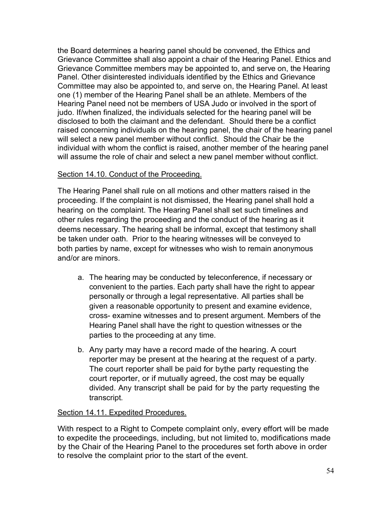the Board determines a hearing panel should be convened, the Ethics and Grievance Committee shall also appoint a chair of the Hearing Panel. Ethics and Grievance Committee members may be appointed to, and serve on, the Hearing Panel. Other disinterested individuals identified by the Ethics and Grievance Committee may also be appointed to, and serve on, the Hearing Panel. At least one (1) member of the Hearing Panel shall be an athlete. Members of the Hearing Panel need not be members of USA Judo or involved in the sport of judo. If/when finalized, the individuals selected for the hearing panel will be disclosed to both the claimant and the defendant. Should there be a conflict raised concerning individuals on the hearing panel, the chair of the hearing panel will select a new panel member without conflict. Should the Chair be the individual with whom the conflict is raised, another member of the hearing panel will assume the role of chair and select a new panel member without conflict.

# <span id="page-59-0"></span>Section 14.10. Conduct of the Proceeding.

The Hearing Panel shall rule on all motions and other matters raised in the proceeding. If the complaint is not dismissed, the Hearing panel shall hold a hearing on the complaint. The Hearing Panel shall set such timelines and other rules regarding the proceeding and the conduct of the hearing as it deems necessary. The hearing shall be informal, except that testimony shall be taken under oath. Prior to the hearing witnesses will be conveyed to both parties by name, except for witnesses who wish to remain anonymous and/or are minors.

- a. The hearing may be conducted by teleconference, if necessary or convenient to the parties. Each party shall have the right to appear personally or through a legal representative. All parties shall be given a reasonable opportunity to present and examine evidence, cross- examine witnesses and to present argument. Members of the Hearing Panel shall have the right to question witnesses or the parties to the proceeding at any time.
- b. Any party may have a record made of the hearing. A court reporter may be present at the hearing at the request of a party. The court reporter shall be paid for bythe party requesting the court reporter, or if mutually agreed, the cost may be equally divided. Any transcript shall be paid for by the party requesting the transcript.

### <span id="page-59-1"></span>Section 14.11. Expedited Procedures.

With respect to a Right to Compete complaint only, every effort will be made to expedite the proceedings, including, but not limited to, modifications made by the Chair of the Hearing Panel to the procedures set forth above in order to resolve the complaint prior to the start of the event.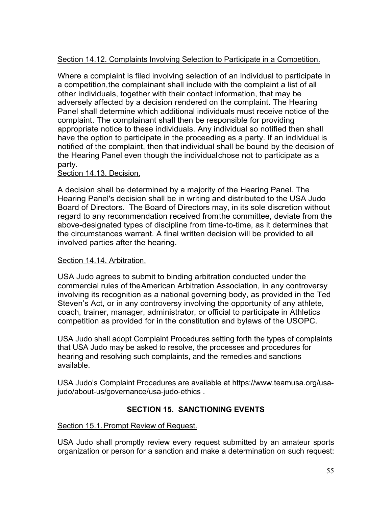# <span id="page-60-0"></span>Section 14.12. Complaints Involving Selection to Participate in a Competition.

Where a complaint is filed involving selection of an individual to participate in a competition,the complainant shall include with the complaint a list of all other individuals, together with their contact information, that may be adversely affected by a decision rendered on the complaint. The Hearing Panel shall determine which additional individuals must receive notice of the complaint. The complainant shall then be responsible for providing appropriate notice to these individuals. Any individual so notified then shall have the option to participate in the proceeding as a party. If an individual is notified of the complaint, then that individual shall be bound by the decision of the Hearing Panel even though the individualchose not to participate as a party.

### <span id="page-60-1"></span>Section 14.13. Decision.

A decision shall be determined by a majority of the Hearing Panel. The Hearing Panel's decision shall be in writing and distributed to the USA Judo Board of Directors. The Board of Directors may, in its sole discretion without regard to any recommendation received fromthe committee, deviate from the above-designated types of discipline from time-to-time, as it determines that the circumstances warrant. A final written decision will be provided to all involved parties after the hearing.

### <span id="page-60-2"></span>Section 14.14. Arbitration.

USA Judo agrees to submit to binding arbitration conducted under the commercial rules of theAmerican Arbitration Association, in any controversy involving its recognition as a national governing body, as provided in the Ted Steven's Act, or in any controversy involving the opportunity of any athlete, coach, trainer, manager, administrator, or official to participate in Athletics competition as provided for in the constitution and bylaws of the USOPC.

USA Judo shall adopt Complaint Procedures setting forth the types of complaints that USA Judo may be asked to resolve, the processes and procedures for hearing and resolving such complaints, and the remedies and sanctions available.

USA Judo's Complaint Procedures are available at [https://www.teamusa.org/usa](https://www.teamusa.org/usa-judo/about-us/governance/usa-judo-ethics)[judo/about-us/governance/usa-judo-ethics](https://www.teamusa.org/usa-judo/about-us/governance/usa-judo-ethics) .

# **SECTION 15. SANCTIONING EVENTS**

### <span id="page-60-4"></span><span id="page-60-3"></span>Section 15.1.Prompt Review of Request.

USA Judo shall promptly review every request submitted by an amateur sports organization or person for a sanction and make a determination on such request: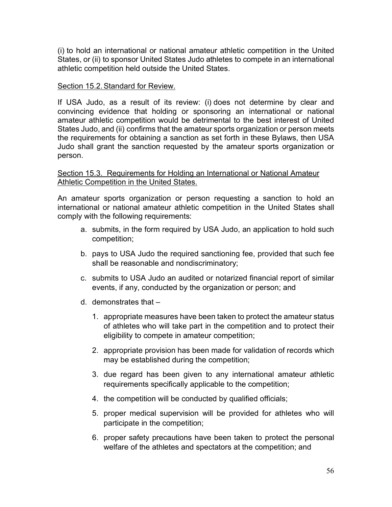(i) to hold an international or national amateur athletic competition in the United States, or (ii) to sponsor United States Judo athletes to compete in an international athletic competition held outside the United States.

#### <span id="page-61-0"></span>Section 15.2.Standard for Review.

If USA Judo, as a result of its review: (i) does not determine by clear and convincing evidence that holding or sponsoring an international or national amateur athletic competition would be detrimental to the best interest of United States Judo, and (ii) confirms that the amateur sports organization or person meets the requirements for obtaining a sanction as set forth in these Bylaws, then USA Judo shall grant the sanction requested by the amateur sports organization or person.

#### <span id="page-61-1"></span>Section 15.3. Requirements for Holding an International or National Amateur Athletic Competition in the United States.

An amateur sports organization or person requesting a sanction to hold an international or national amateur athletic competition in the United States shall comply with the following requirements:

- a. submits, in the form required by USA Judo, an application to hold such competition;
- b. pays to USA Judo the required sanctioning fee, provided that such fee shall be reasonable and nondiscriminatory;
- c. submits to USA Judo an audited or notarized financial report of similar events, if any, conducted by the organization or person; and
- d. demonstrates that
	- 1. appropriate measures have been taken to protect the amateur status of athletes who will take part in the competition and to protect their eligibility to compete in amateur competition;
	- 2. appropriate provision has been made for validation of records which may be established during the competition;
	- 3. due regard has been given to any international amateur athletic requirements specifically applicable to the competition;
	- 4. the competition will be conducted by qualified officials;
	- 5. proper medical supervision will be provided for athletes who will participate in the competition;
	- 6. proper safety precautions have been taken to protect the personal welfare of the athletes and spectators at the competition; and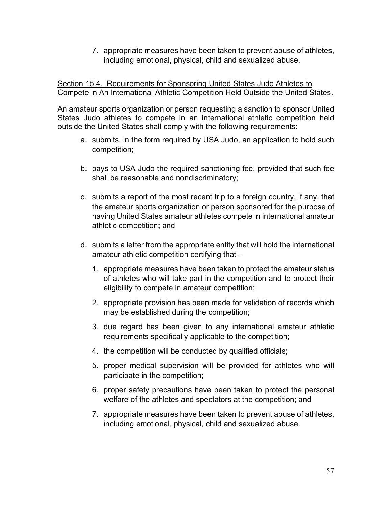7. appropriate measures have been taken to prevent abuse of athletes, including emotional, physical, child and sexualized abuse.

### <span id="page-62-0"></span>Section 15.4. Requirements for Sponsoring United States Judo Athletes to Compete in An International Athletic Competition Held Outside the United States.

An amateur sports organization or person requesting a sanction to sponsor United States Judo athletes to compete in an international athletic competition held outside the United States shall comply with the following requirements:

- a. submits, in the form required by USA Judo, an application to hold such competition;
- b. pays to USA Judo the required sanctioning fee, provided that such fee shall be reasonable and nondiscriminatory;
- c. submits a report of the most recent trip to a foreign country, if any, that the amateur sports organization or person sponsored for the purpose of having United States amateur athletes compete in international amateur athletic competition; and
- d. submits a letter from the appropriate entity that will hold the international amateur athletic competition certifying that –
	- 1. appropriate measures have been taken to protect the amateur status of athletes who will take part in the competition and to protect their eligibility to compete in amateur competition;
	- 2. appropriate provision has been made for validation of records which may be established during the competition;
	- 3. due regard has been given to any international amateur athletic requirements specifically applicable to the competition;
	- 4. the competition will be conducted by qualified officials;
	- 5. proper medical supervision will be provided for athletes who will participate in the competition;
	- 6. proper safety precautions have been taken to protect the personal welfare of the athletes and spectators at the competition; and
	- 7. appropriate measures have been taken to prevent abuse of athletes, including emotional, physical, child and sexualized abuse.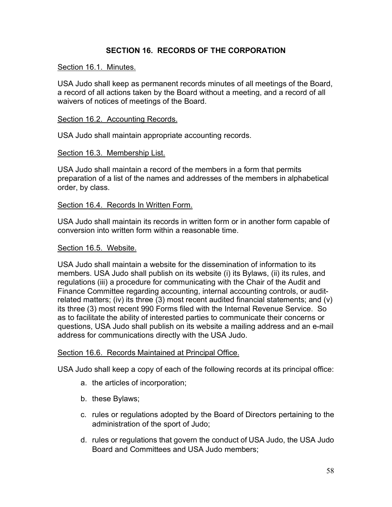# **SECTION 16. RECORDS OF THE CORPORATION**

#### <span id="page-63-1"></span><span id="page-63-0"></span>Section 16.1. Minutes.

USA Judo shall keep as permanent records minutes of all meetings of the Board, a record of all actions taken by the Board without a meeting, and a record of all waivers of notices of meetings of the Board.

#### <span id="page-63-2"></span>Section 16.2. Accounting Records.

USA Judo shall maintain appropriate accounting records.

#### <span id="page-63-3"></span>Section 16.3. Membership List.

USA Judo shall maintain a record of the members in a form that permits preparation of a list of the names and addresses of the members in alphabetical order, by class.

#### <span id="page-63-4"></span>Section 16.4. Records In Written Form.

USA Judo shall maintain its records in written form or in another form capable of conversion into written form within a reasonable time.

#### <span id="page-63-5"></span>Section 16.5. Website.

USA Judo shall maintain a website for the dissemination of information to its members. USA Judo shall publish on its website (i) its Bylaws, (ii) its rules, and regulations (iii) a procedure for communicating with the Chair of the Audit and Finance Committee regarding accounting, internal accounting controls, or auditrelated matters; (iv) its three (3) most recent audited financial statements; and (v) its three (3) most recent 990 Forms filed with the Internal Revenue Service.So as to facilitate the ability of interested parties to communicate their concerns or questions, USA Judo shall publish on its website a mailing address and an e-mail address for communications directly with the USA Judo.

#### <span id="page-63-6"></span>Section 16.6. Records Maintained at Principal Office.

USA Judo shall keep a copy of each of the following records at its principal office:

- a. the articles of incorporation;
- b. these Bylaws;
- c. rules or regulations adopted by the Board of Directors pertaining to the administration of the sport of Judo;
- d. rules or regulations that govern the conduct of USA Judo, the USA Judo Board and Committees and USA Judo members;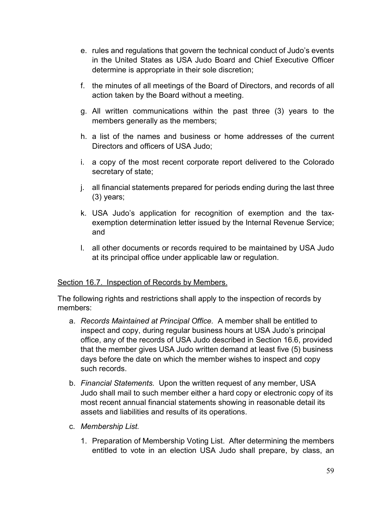- e. rules and regulations that govern the technical conduct of Judo's events in the United States as USA Judo Board and Chief Executive Officer determine is appropriate in their sole discretion;
- f. the minutes of all meetings of the Board of Directors, and records of all action taken by the Board without a meeting.
- g. All written communications within the past three (3) years to the members generally as the members;
- h. a list of the names and business or home addresses of the current Directors and officers of USA Judo;
- i. a copy of the most recent corporate report delivered to the Colorado secretary of state;
- j. all financial statements prepared for periods ending during the last three (3) years;
- k. USA Judo's application for recognition of exemption and the taxexemption determination letter issued by the Internal Revenue Service; and
- l. all other documents or records required to be maintained by USA Judo at its principal office under applicable law or regulation.

### <span id="page-64-0"></span>Section 16.7. Inspection of Records by Members.

The following rights and restrictions shall apply to the inspection of records by members:

- a. *Records Maintained at Principal Office.* A member shall be entitled to inspect and copy, during regular business hours at USA Judo's principal office, any of the records of USA Judo described in Section 16.6, provided that the member gives USA Judo written demand at least five (5) business days before the date on which the member wishes to inspect and copy such records.
- b. *Financial Statements.* Upon the written request of any member, USA Judo shall mail to such member either a hard copy or electronic copy of its most recent annual financial statements showing in reasonable detail its assets and liabilities and results of its operations.
- c. *Membership List.*
	- 1. Preparation of Membership Voting List. After determining the members entitled to vote in an election USA Judo shall prepare, by class, an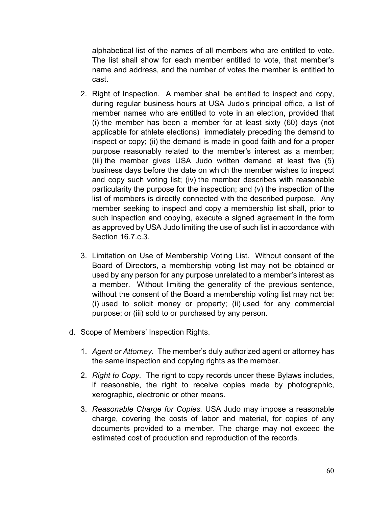alphabetical list of the names of all members who are entitled to vote. The list shall show for each member entitled to vote, that member's name and address, and the number of votes the member is entitled to cast.

- 2. Right of Inspection. A member shall be entitled to inspect and copy, during regular business hours at USA Judo's principal office, a list of member names who are entitled to vote in an election, provided that (i) the member has been a member for at least sixty (60) days (not applicable for athlete elections) immediately preceding the demand to inspect or copy; (ii) the demand is made in good faith and for a proper purpose reasonably related to the member's interest as a member; (iii) the member gives USA Judo written demand at least five (5) business days before the date on which the member wishes to inspect and copy such voting list; (iv) the member describes with reasonable particularity the purpose for the inspection; and (v) the inspection of the list of members is directly connected with the described purpose. Any member seeking to inspect and copy a membership list shall, prior to such inspection and copying, execute a signed agreement in the form as approved by USA Judo limiting the use of such list in accordance with Section 16.7 c.3.
- 3. Limitation on Use of Membership Voting List. Without consent of the Board of Directors, a membership voting list may not be obtained or used by any person for any purpose unrelated to a member's interest as a member. Without limiting the generality of the previous sentence, without the consent of the Board a membership voting list may not be: (i) used to solicit money or property; (ii) used for any commercial purpose; or (iii) sold to or purchased by any person.
- d. Scope of Members' Inspection Rights.
	- 1. *Agent or Attorney.* The member's duly authorized agent or attorney has the same inspection and copying rights as the member.
	- 2. *Right to Copy.* The right to copy records under these Bylaws includes, if reasonable, the right to receive copies made by photographic, xerographic, electronic or other means.
	- 3. *Reasonable Charge for Copies.* USA Judo may impose a reasonable charge, covering the costs of labor and material, for copies of any documents provided to a member. The charge may not exceed the estimated cost of production and reproduction of the records.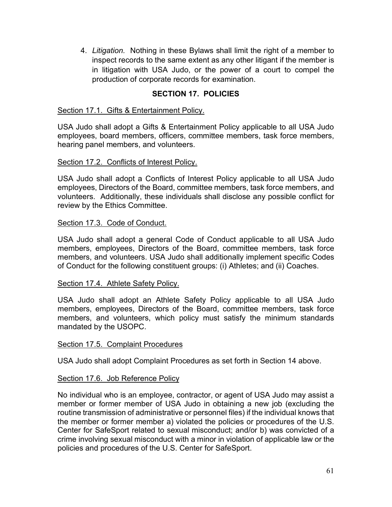4. *Litigation.* Nothing in these Bylaws shall limit the right of a member to inspect records to the same extent as any other litigant if the member is in litigation with USA Judo, or the power of a court to compel the production of corporate records for examination.

# **SECTION 17. POLICIES**

#### <span id="page-66-1"></span><span id="page-66-0"></span>Section 17.1. Gifts & Entertainment Policy.

USA Judo shall adopt a Gifts & Entertainment Policy applicable to all USA Judo employees, board members, officers, committee members, task force members, hearing panel members, and volunteers.

#### <span id="page-66-2"></span>Section 17.2. Conflicts of Interest Policy.

USA Judo shall adopt a Conflicts of Interest Policy applicable to all USA Judo employees, Directors of the Board, committee members, task force members, and volunteers. Additionally, these individuals shall disclose any possible conflict for review by the Ethics Committee.

#### <span id="page-66-3"></span>Section 17.3. Code of Conduct.

USA Judo shall adopt a general Code of Conduct applicable to all USA Judo members, employees, Directors of the Board, committee members, task force members, and volunteers. USA Judo shall additionally implement specific Codes of Conduct for the following constituent groups: (i) Athletes; and (ii) Coaches.

#### <span id="page-66-4"></span>Section 17.4. Athlete Safety Policy.

USA Judo shall adopt an Athlete Safety Policy applicable to all USA Judo members, employees, Directors of the Board, committee members, task force members, and volunteers, which policy must satisfy the minimum standards mandated by the USOPC.

#### <span id="page-66-5"></span>Section 17.5. Complaint Procedures

USA Judo shall adopt Complaint Procedures as set forth in Section 14 above.

#### <span id="page-66-6"></span>Section 17.6. Job Reference Policy

No individual who is an employee, contractor, or agent of USA Judo may assist a member or former member of USA Judo in obtaining a new job (excluding the routine transmission of administrative or personnel files) if the individual knows that the member or former member a) violated the policies or procedures of the U.S. Center for SafeSport related to sexual misconduct; and/or b) was convicted of a crime involving sexual misconduct with a minor in violation of applicable law or the policies and procedures of the U.S. Center for SafeSport.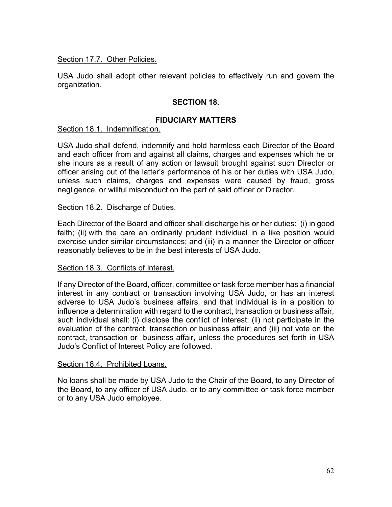### <span id="page-67-0"></span>Section 17.7. Other Policies.

USA Judo shall adopt other relevant policies to effectively run and govern the organization.

# **SECTION 18.**

# **FIDUCIARY MATTERS**

### <span id="page-67-1"></span>Section 18.1. Indemnification.

USA Judo shall defend, indemnify and hold harmless each Director of the Board and each officer from and against all claims, charges and expenses which he or she incurs as a result of any action or lawsuit brought against such Director or officer arising out of the latter's performance of his or her duties with USA Judo, unless such claims, charges and expenses were caused by fraud, gross negligence, or willful misconduct on the part of said officer or Director.

#### <span id="page-67-2"></span>Section 18.2. Discharge of Duties.

Each Director of the Board and officer shall discharge his or her duties: (i) in good faith; (ii) with the care an ordinarily prudent individual in a like position would exercise under similar circumstances; and (iii) in a manner the Director or officer reasonably believes to be in the best interests of USA Judo.

#### <span id="page-67-3"></span>Section 18.3. Conflicts of Interest.

If any Director of the Board, officer, committee or task force member has a financial interest in any contract or transaction involving USA Judo, or has an interest adverse to USA Judo's business affairs, and that individual is in a position to influence a determination with regard to the contract, transaction or business affair, such individual shall: (i) disclose the conflict of interest; (ii) not participate in the evaluation of the contract, transaction or business affair; and (iii) not vote on the contract, transaction or business affair, unless the procedures set forth in USA Judo's Conflict of Interest Policy are followed.

#### <span id="page-67-4"></span>Section 18.4. Prohibited Loans.

No loans shall be made by USA Judo to the Chair of the Board, to any Director of the Board, to any officer of USA Judo, or to any committee or task force member or to any USA Judo employee.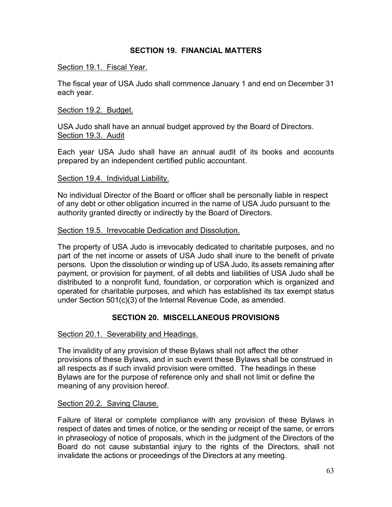# **SECTION 19. FINANCIAL MATTERS**

#### <span id="page-68-1"></span><span id="page-68-0"></span>Section 19.1. Fiscal Year.

The fiscal year of USA Judo shall commence January 1 and end on December 31 each year.

#### <span id="page-68-2"></span>Section 19.2. Budget.

<span id="page-68-3"></span>USA Judo shall have an annual budget approved by the Board of Directors. Section 19.3. Audit

Each year USA Judo shall have an annual audit of its books and accounts prepared by an independent certified public accountant.

#### <span id="page-68-4"></span>Section 19.4. Individual Liability.

No individual Director of the Board or officer shall be personally liable in respect of any debt or other obligation incurred in the name of USA Judo pursuant to the authority granted directly or indirectly by the Board of Directors.

#### <span id="page-68-5"></span>Section 19.5. Irrevocable Dedication and Dissolution.

The property of USA Judo is irrevocably dedicated to charitable purposes, and no part of the net income or assets of USA Judo shall inure to the benefit of private persons. Upon the dissolution or winding up of USA Judo, its assets remaining after payment, or provision for payment, of all debts and liabilities of USA Judo shall be distributed to a nonprofit fund, foundation, or corporation which is organized and operated for charitable purposes, and which has established its tax exempt status under Section 501(c)(3) of the Internal Revenue Code, as amended.

### **SECTION 20. MISCELLANEOUS PROVISIONS**

#### <span id="page-68-7"></span><span id="page-68-6"></span>Section 20.1. Severability and Headings.

The invalidity of any provision of these Bylaws shall not affect the other provisions of these Bylaws, and in such event these Bylaws shall be construed in all respects as if such invalid provision were omitted. The headings in these Bylaws are for the purpose of reference only and shall not limit or define the meaning of any provision hereof.

#### <span id="page-68-8"></span>Section 20.2. Saving Clause.

Failure of literal or complete compliance with any provision of these Bylaws in respect of dates and times of notice, or the sending or receipt of the same, or errors in phraseology of notice of proposals, which in the judgment of the Directors of the Board do not cause substantial injury to the rights of the Directors, shall not invalidate the actions or proceedings of the Directors at any meeting.